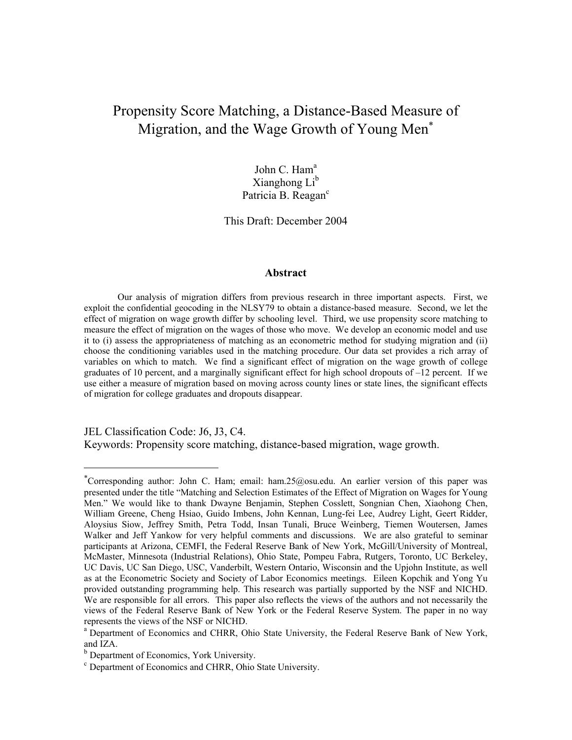# Propensity Score Matching, a Distance-Based Measure of Migration, and the Wage Growth of Young Men<sup>∗</sup>

John C. Ham<sup>a</sup> Xianghong  $Li<sup>b</sup>$ Patricia B. Reagan<sup>c</sup>

This Draft: December 2004

#### **Abstract**

Our analysis of migration differs from previous research in three important aspects. First, we exploit the confidential geocoding in the NLSY79 to obtain a distance-based measure. Second, we let the effect of migration on wage growth differ by schooling level. Third, we use propensity score matching to measure the effect of migration on the wages of those who move. We develop an economic model and use it to (i) assess the appropriateness of matching as an econometric method for studying migration and (ii) choose the conditioning variables used in the matching procedure. Our data set provides a rich array of variables on which to match. We find a significant effect of migration on the wage growth of college graduates of 10 percent, and a marginally significant effect for high school dropouts of –12 percent. If we use either a measure of migration based on moving across county lines or state lines, the significant effects of migration for college graduates and dropouts disappear.

JEL Classification Code: J6, J3, C4.

 $\overline{a}$ 

Keywords: Propensity score matching, distance-based migration, wage growth.

<sup>∗</sup> Corresponding author: John C. Ham; email: ham.25@osu.edu. An earlier version of this paper was presented under the title "Matching and Selection Estimates of the Effect of Migration on Wages for Young Men." We would like to thank Dwayne Benjamin, Stephen Cosslett, Songnian Chen, Xiaohong Chen, William Greene, Cheng Hsiao, Guido Imbens, John Kennan, Lung-fei Lee, Audrey Light, Geert Ridder, Aloysius Siow, Jeffrey Smith, Petra Todd, Insan Tunali, Bruce Weinberg, Tiemen Woutersen, James Walker and Jeff Yankow for very helpful comments and discussions. We are also grateful to seminar participants at Arizona, CEMFI, the Federal Reserve Bank of New York, McGill/University of Montreal, McMaster, Minnesota (Industrial Relations), Ohio State, Pompeu Fabra, Rutgers, Toronto, UC Berkeley, UC Davis, UC San Diego, USC, Vanderbilt, Western Ontario, Wisconsin and the Upjohn Institute, as well as at the Econometric Society and Society of Labor Economics meetings. Eileen Kopchik and Yong Yu provided outstanding programming help. This research was partially supported by the NSF and NICHD. We are responsible for all errors. This paper also reflects the views of the authors and not necessarily the views of the Federal Reserve Bank of New York or the Federal Reserve System. The paper in no way represents the views of the NSF or NICHD.<br><sup>a</sup> Department of Economics and CHRR, Ohio State University, the Federal Reserve Bank of New York,

and IZA.

<sup>&</sup>lt;sup>b</sup> Department of Economics, York University.

<sup>c</sup> Department of Economics and CHRR, Ohio State University.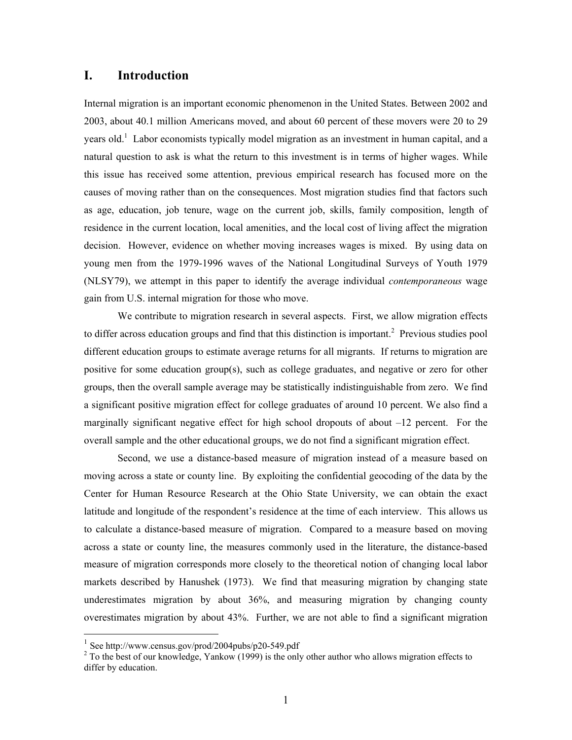## **I. Introduction**

Internal migration is an important economic phenomenon in the United States. Between 2002 and 2003, about 40.1 million Americans moved, and about 60 percent of these movers were 20 to 29 years old.<sup>1</sup> Labor economists typically model migration as an investment in human capital, and a natural question to ask is what the return to this investment is in terms of higher wages. While this issue has received some attention, previous empirical research has focused more on the causes of moving rather than on the consequences. Most migration studies find that factors such as age, education, job tenure, wage on the current job, skills, family composition, length of residence in the current location, local amenities, and the local cost of living affect the migration decision. However, evidence on whether moving increases wages is mixed. By using data on young men from the 1979-1996 waves of the National Longitudinal Surveys of Youth 1979 (NLSY79), we attempt in this paper to identify the average individual *contemporaneous* wage gain from U.S. internal migration for those who move.

We contribute to migration research in several aspects. First, we allow migration effects to differ across education groups and find that this distinction is important.<sup>2</sup> Previous studies pool different education groups to estimate average returns for all migrants. If returns to migration are positive for some education group(s), such as college graduates, and negative or zero for other groups, then the overall sample average may be statistically indistinguishable from zero. We find a significant positive migration effect for college graduates of around 10 percent. We also find a marginally significant negative effect for high school dropouts of about  $-12$  percent. For the overall sample and the other educational groups, we do not find a significant migration effect.

Second, we use a distance-based measure of migration instead of a measure based on moving across a state or county line. By exploiting the confidential geocoding of the data by the Center for Human Resource Research at the Ohio State University, we can obtain the exact latitude and longitude of the respondent's residence at the time of each interview. This allows us to calculate a distance-based measure of migration. Compared to a measure based on moving across a state or county line, the measures commonly used in the literature, the distance-based measure of migration corresponds more closely to the theoretical notion of changing local labor markets described by Hanushek (1973). We find that measuring migration by changing state underestimates migration by about 36%, and measuring migration by changing county overestimates migration by about 43%. Further, we are not able to find a significant migration

<sup>1</sup> See http://www.census.gov/prod/2004pubs/p20-549.pdf

 $2^{2}$  To the best of our knowledge, Yankow (1999) is the only other author who allows migration effects to differ by education.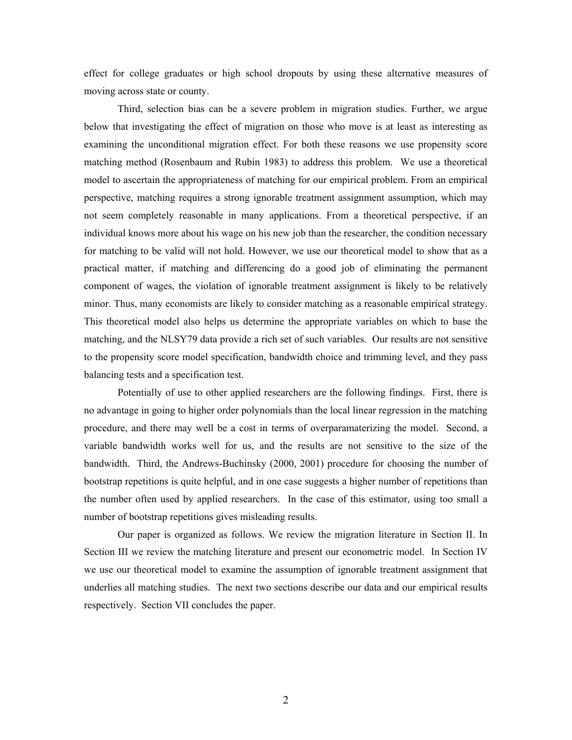effect for college graduates or high school dropouts by using these alternative measures of moving across state or county.

Third, selection bias can be a severe problem in migration studies. Further, we argue below that investigating the effect of migration on those who move is at least as interesting as examining the unconditional migration effect. For both these reasons we use propensity score matching method (Rosenbaum and Rubin 1983) to address this problem. We use a theoretical model to ascertain the appropriateness of matching for our empirical problem. From an empirical perspective, matching requires a strong ignorable treatment assignment assumption, which may not seem completely reasonable in many applications. From a theoretical perspective, if an individual knows more about his wage on his new job than the researcher, the condition necessary for matching to be valid will not hold. However, we use our theoretical model to show that as a practical matter, if matching and differencing do a good job of eliminating the permanent component of wages, the violation of ignorable treatment assignment is likely to be relatively minor. Thus, many economists are likely to consider matching as a reasonable empirical strategy. This theoretical model also helps us determine the appropriate variables on which to base the matching, and the NLSY79 data provide a rich set of such variables. Our results are not sensitive to the propensity score model specification, bandwidth choice and trimming level, and they pass balancing tests and a specification test.

Potentially of use to other applied researchers are the following findings. First, there is no advantage in going to higher order polynomials than the local linear regression in the matching procedure, and there may well be a cost in terms of overparamaterizing the model. Second, a variable bandwidth works well for us, and the results are not sensitive to the size of the bandwidth. Third, the Andrews-Buchinsky (2000, 2001) procedure for choosing the number of bootstrap repetitions is quite helpful, and in one case suggests a higher number of repetitions than the number often used by applied researchers. In the case of this estimator, using too small a number of bootstrap repetitions gives misleading results.

Our paper is organized as follows. We review the migration literature in Section II. In Section III we review the matching literature and present our econometric model. In Section IV we use our theoretical model to examine the assumption of ignorable treatment assignment that underlies all matching studies. The next two sections describe our data and our empirical results respectively. Section VII concludes the paper.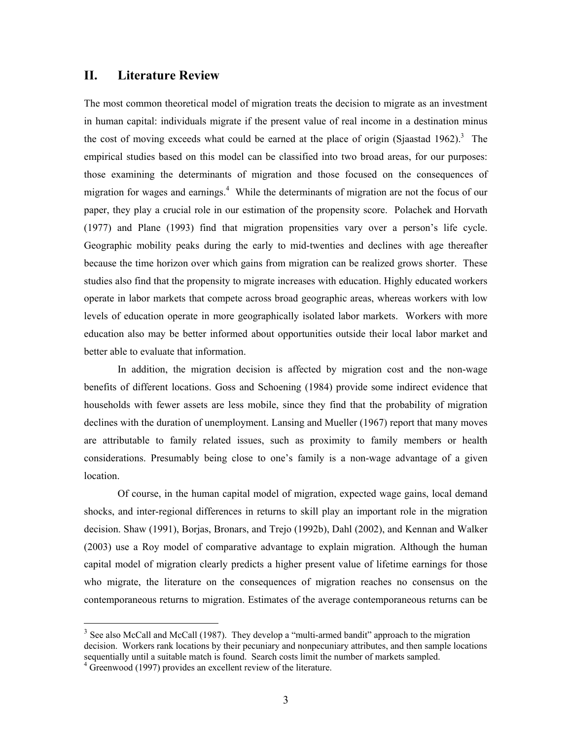## **II. Literature Review**

The most common theoretical model of migration treats the decision to migrate as an investment in human capital: individuals migrate if the present value of real income in a destination minus the cost of moving exceeds what could be earned at the place of origin (Sjaastad 1962).<sup>3</sup> The empirical studies based on this model can be classified into two broad areas, for our purposes: those examining the determinants of migration and those focused on the consequences of migration for wages and earnings.<sup>4</sup> While the determinants of migration are not the focus of our paper, they play a crucial role in our estimation of the propensity score. Polachek and Horvath (1977) and Plane (1993) find that migration propensities vary over a person's life cycle. Geographic mobility peaks during the early to mid-twenties and declines with age thereafter because the time horizon over which gains from migration can be realized grows shorter. These studies also find that the propensity to migrate increases with education. Highly educated workers operate in labor markets that compete across broad geographic areas, whereas workers with low levels of education operate in more geographically isolated labor markets. Workers with more education also may be better informed about opportunities outside their local labor market and better able to evaluate that information.

In addition, the migration decision is affected by migration cost and the non-wage benefits of different locations. Goss and Schoening (1984) provide some indirect evidence that households with fewer assets are less mobile, since they find that the probability of migration declines with the duration of unemployment. Lansing and Mueller (1967) report that many moves are attributable to family related issues, such as proximity to family members or health considerations. Presumably being close to one's family is a non-wage advantage of a given location.

Of course, in the human capital model of migration, expected wage gains, local demand shocks, and inter-regional differences in returns to skill play an important role in the migration decision. Shaw (1991), Borjas, Bronars, and Trejo (1992b), Dahl (2002), and Kennan and Walker (2003) use a Roy model of comparative advantage to explain migration. Although the human capital model of migration clearly predicts a higher present value of lifetime earnings for those who migrate, the literature on the consequences of migration reaches no consensus on the contemporaneous returns to migration. Estimates of the average contemporaneous returns can be

<sup>&</sup>lt;sup>3</sup> See also McCall and McCall (1987). They develop a "multi-armed bandit" approach to the migration decision. Workers rank locations by their pecuniary and nonpecuniary attributes, and then sample locations sequentially until a suitable match is found. Search costs limit the number of markets sampled.

<sup>&</sup>lt;sup>4</sup> Greenwood (1997) provides an excellent review of the literature.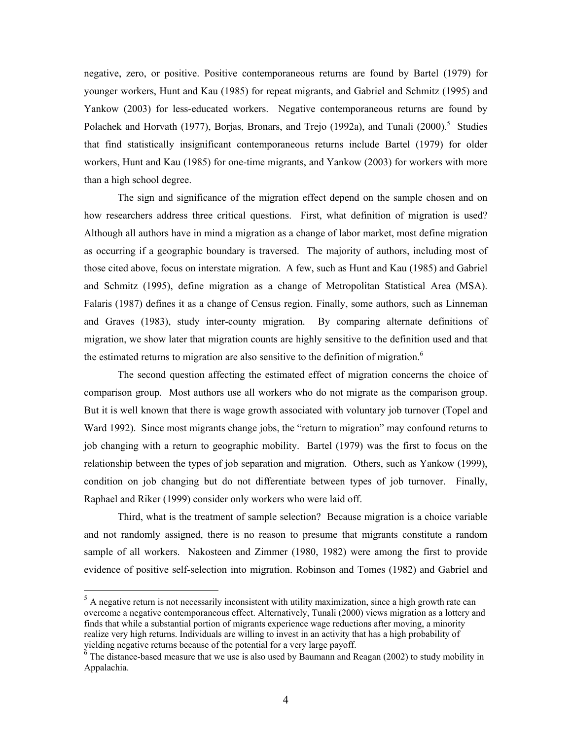negative, zero, or positive. Positive contemporaneous returns are found by Bartel (1979) for younger workers, Hunt and Kau (1985) for repeat migrants, and Gabriel and Schmitz (1995) and Yankow (2003) for less-educated workers. Negative contemporaneous returns are found by Polachek and Horvath (1977), Borjas, Bronars, and Trejo (1992a), and Tunali (2000).<sup>5</sup> Studies that find statistically insignificant contemporaneous returns include Bartel (1979) for older workers, Hunt and Kau (1985) for one-time migrants, and Yankow (2003) for workers with more than a high school degree.

The sign and significance of the migration effect depend on the sample chosen and on how researchers address three critical questions. First, what definition of migration is used? Although all authors have in mind a migration as a change of labor market, most define migration as occurring if a geographic boundary is traversed. The majority of authors, including most of those cited above, focus on interstate migration. A few, such as Hunt and Kau (1985) and Gabriel and Schmitz (1995), define migration as a change of Metropolitan Statistical Area (MSA). Falaris (1987) defines it as a change of Census region. Finally, some authors, such as Linneman and Graves (1983), study inter-county migration. By comparing alternate definitions of migration, we show later that migration counts are highly sensitive to the definition used and that the estimated returns to migration are also sensitive to the definition of migration.<sup>6</sup>

The second question affecting the estimated effect of migration concerns the choice of comparison group. Most authors use all workers who do not migrate as the comparison group. But it is well known that there is wage growth associated with voluntary job turnover (Topel and Ward 1992). Since most migrants change jobs, the "return to migration" may confound returns to job changing with a return to geographic mobility. Bartel (1979) was the first to focus on the relationship between the types of job separation and migration. Others, such as Yankow (1999), condition on job changing but do not differentiate between types of job turnover. Finally, Raphael and Riker (1999) consider only workers who were laid off.

Third, what is the treatment of sample selection? Because migration is a choice variable and not randomly assigned, there is no reason to presume that migrants constitute a random sample of all workers. Nakosteen and Zimmer (1980, 1982) were among the first to provide evidence of positive self-selection into migration. Robinson and Tomes (1982) and Gabriel and

<sup>&</sup>lt;sup>5</sup> A negative return is not necessarily inconsistent with utility maximization, since a high growth rate can overcome a negative contemporaneous effect. Alternatively, Tunali (2000) views migration as a lottery and finds that while a substantial portion of migrants experience wage reductions after moving, a minority realize very high returns. Individuals are willing to invest in an activity that has a high probability of yielding negative returns because of the potential for a very large payoff.

 $6$  The distance-based measure that we use is also used by Baumann and Reagan (2002) to study mobility in Appalachia.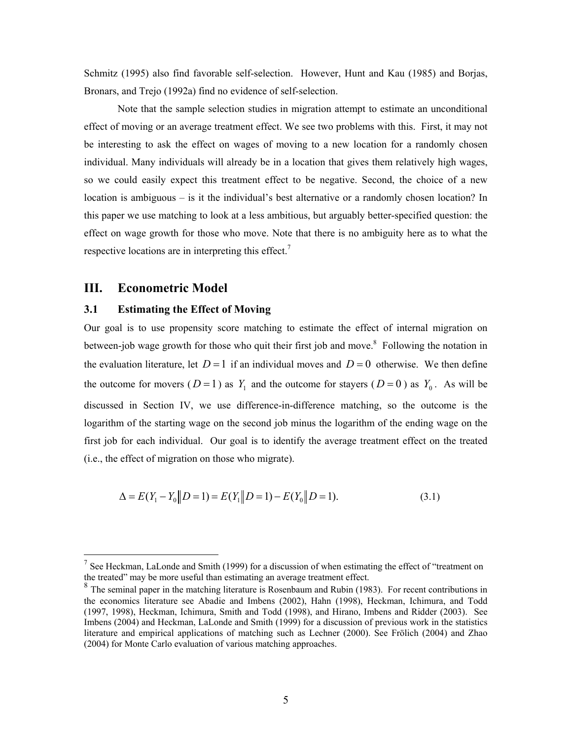Schmitz (1995) also find favorable self-selection. However, Hunt and Kau (1985) and Borjas, Bronars, and Trejo (1992a) find no evidence of self-selection.

Note that the sample selection studies in migration attempt to estimate an unconditional effect of moving or an average treatment effect. We see two problems with this. First, it may not be interesting to ask the effect on wages of moving to a new location for a randomly chosen individual. Many individuals will already be in a location that gives them relatively high wages, so we could easily expect this treatment effect to be negative. Second, the choice of a new location is ambiguous – is it the individual's best alternative or a randomly chosen location? In this paper we use matching to look at a less ambitious, but arguably better-specified question: the effect on wage growth for those who move. Note that there is no ambiguity here as to what the respective locations are in interpreting this effect.<sup>7</sup>

## **III. Econometric Model**

 $\overline{a}$ 

### **3.1 Estimating the Effect of Moving**

Our goal is to use propensity score matching to estimate the effect of internal migration on between-job wage growth for those who quit their first job and move.<sup>8</sup> Following the notation in the evaluation literature, let  $D=1$  if an individual moves and  $D=0$  otherwise. We then define the outcome for movers ( $D=1$ ) as  $Y_1$  and the outcome for stayers ( $D=0$ ) as  $Y_0$ . As will be discussed in Section IV, we use difference-in-difference matching, so the outcome is the logarithm of the starting wage on the second job minus the logarithm of the ending wage on the first job for each individual. Our goal is to identify the average treatment effect on the treated (i.e., the effect of migration on those who migrate).

$$
\Delta = E(Y_1 - Y_0 \| D = 1) = E(Y_1 \| D = 1) - E(Y_0 \| D = 1).
$$
\n(3.1)

 $<sup>7</sup>$  See Heckman, LaLonde and Smith (1999) for a discussion of when estimating the effect of "treatment on</sup> the treated" may be more useful than estimating an average treatment effect.

 $8<sup>8</sup>$  The seminal paper in the matching literature is Rosenbaum and Rubin (1983). For recent contributions in the economics literature see Abadie and Imbens (2002), Hahn (1998), Heckman, Ichimura, and Todd (1997, 1998), Heckman, Ichimura, Smith and Todd (1998), and Hirano, Imbens and Ridder (2003). See Imbens (2004) and Heckman, LaLonde and Smith (1999) for a discussion of previous work in the statistics literature and empirical applications of matching such as Lechner (2000). See Frölich (2004) and Zhao (2004) for Monte Carlo evaluation of various matching approaches.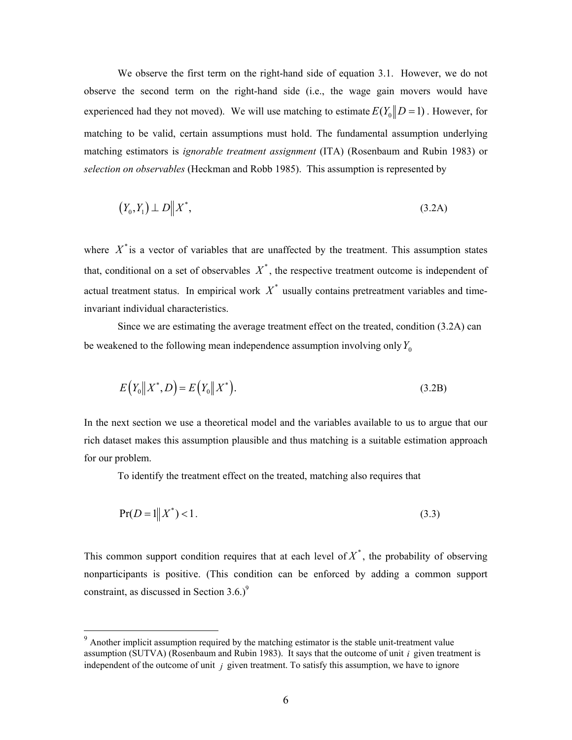We observe the first term on the right-hand side of equation 3.1. However, we do not observe the second term on the right-hand side (i.e., the wage gain movers would have experienced had they not moved). We will use matching to estimate  $E(Y_0 \| D = 1)$ . However, for matching to be valid, certain assumptions must hold. The fundamental assumption underlying matching estimators is *ignorable treatment assignment* (ITA) (Rosenbaum and Rubin 1983) or *selection on observables* (Heckman and Robb 1985). This assumption is represented by

$$
(Y_0, Y_1) \perp D \parallel X^*, \tag{3.2A}
$$

where  $X^*$  is a vector of variables that are unaffected by the treatment. This assumption states that, conditional on a set of observables  $X^*$ , the respective treatment outcome is independent of actual treatment status. In empirical work  $X^*$  usually contains pretreatment variables and timeinvariant individual characteristics.

Since we are estimating the average treatment effect on the treated, condition (3.2A) can be weakened to the following mean independence assumption involving only  $Y_0$ 

$$
E(Y_0||X^*,D) = E(Y_0||X^*).
$$
\n(3.2B)

In the next section we use a theoretical model and the variables available to us to argue that our rich dataset makes this assumption plausible and thus matching is a suitable estimation approach for our problem.

To identify the treatment effect on the treated, matching also requires that

$$
Pr(D = 1 \| X^*) < 1.
$$
\n(3.3)

This common support condition requires that at each level of  $X^*$ , the probability of observing nonparticipants is positive. (This condition can be enforced by adding a common support constraint, as discussed in Section  $3.6.$ <sup>9</sup>

 $9<sup>9</sup>$  Another implicit assumption required by the matching estimator is the stable unit-treatment value assumption (SUTVA) (Rosenbaum and Rubin 1983). It says that the outcome of unit *i* given treatment is independent of the outcome of unit *j* given treatment. To satisfy this assumption, we have to ignore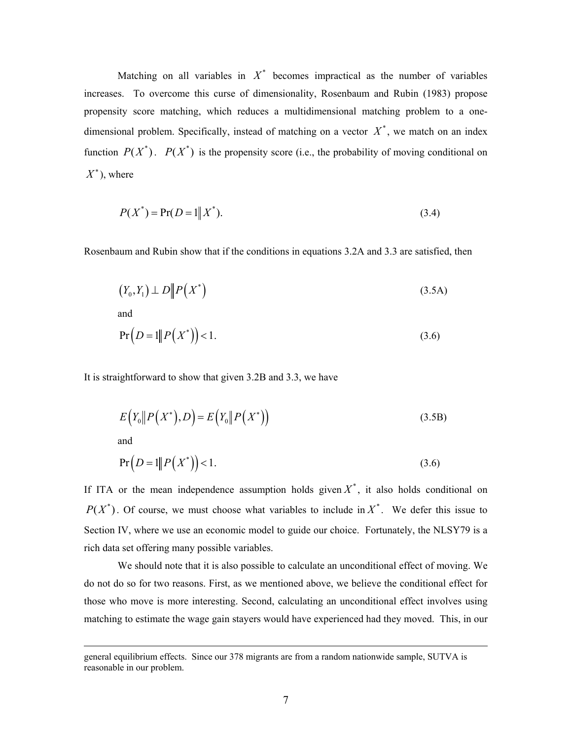Matching on all variables in  $X^*$  becomes impractical as the number of variables increases. To overcome this curse of dimensionality, Rosenbaum and Rubin (1983) propose propensity score matching, which reduces a multidimensional matching problem to a onedimensional problem. Specifically, instead of matching on a vector  $X^*$ , we match on an index function  $P(X^*)$ .  $P(X^*)$  is the propensity score (i.e., the probability of moving conditional on  $X^*$ ), where

$$
P(X^*) = \Pr(D = 1 \| X^*). \tag{3.4}
$$

Rosenbaum and Rubin show that if the conditions in equations 3.2A and 3.3 are satisfied, then

$$
(Y_0, Y_1) \perp D \| P \left( X^* \right) \tag{3.5A}
$$

and

$$
\Pr(D=1||P(X^*))<1.
$$
\n(3.6)

It is straightforward to show that given 3.2B and 3.3, we have

$$
E(Y_0 \| P(X^*), D) = E(Y_0 \| P(X^*))
$$
\n(3.5B)

and

$$
\Pr(D=1||P(X^*))<1.
$$
\n(3.6)

If ITA or the mean independence assumption holds given  $X^*$ , it also holds conditional on  $P(X^*)$ . Of course, we must choose what variables to include in  $X^*$ . We defer this issue to Section IV, where we use an economic model to guide our choice. Fortunately, the NLSY79 is a rich data set offering many possible variables.

We should note that it is also possible to calculate an unconditional effect of moving. We do not do so for two reasons. First, as we mentioned above, we believe the conditional effect for those who move is more interesting. Second, calculating an unconditional effect involves using matching to estimate the wage gain stayers would have experienced had they moved. This, in our

general equilibrium effects. Since our 378 migrants are from a random nationwide sample, SUTVA is reasonable in our problem.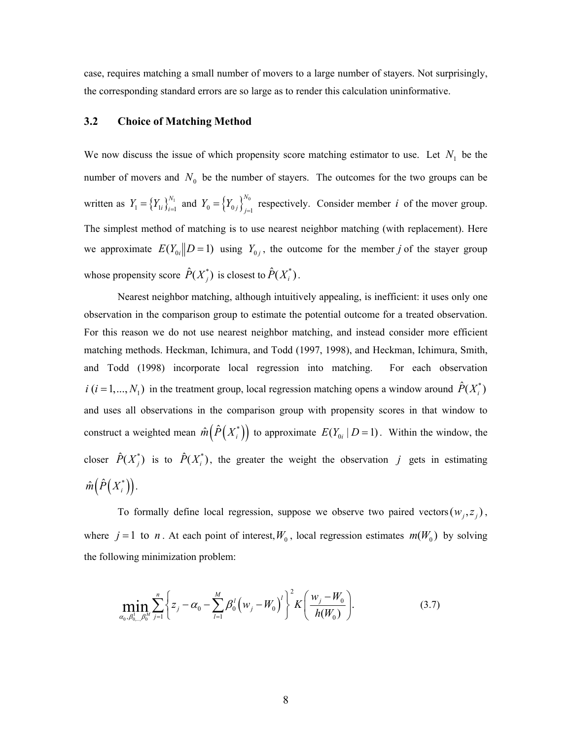case, requires matching a small number of movers to a large number of stayers. Not surprisingly, the corresponding standard errors are so large as to render this calculation uninformative.

#### **3.2 Choice of Matching Method**

We now discuss the issue of which propensity score matching estimator to use. Let  $N_1$  be the number of movers and  $N_0$  be the number of stayers. The outcomes for the two groups can be written as  $Y_1 = \{Y_{1i}\}_{i=1}^{N_1}$  $Y_1 = \left\{ Y_{1i} \right\}_{i=1}^{N_1}$  and  $Y_0 = \left\{ Y_{0j} \right\}_{j=1}^{N_0}$ *N*  $Y_0 = \left\{ Y_{0j} \right\}_{j=1}^{N_0}$  respectively. Consider member *i* of the mover group. The simplest method of matching is to use nearest neighbor matching (with replacement). Here we approximate  $E(Y_{0i}||D=1)$  using  $Y_{0i}$ , the outcome for the member *j* of the stayer group whose propensity score  $\hat{P}(X_i^*)$  is closest to  $\hat{P}(X_i^*)$ .

Nearest neighbor matching, although intuitively appealing, is inefficient: it uses only one observation in the comparison group to estimate the potential outcome for a treated observation. For this reason we do not use nearest neighbor matching, and instead consider more efficient matching methods. Heckman, Ichimura, and Todd (1997, 1998), and Heckman, Ichimura, Smith, and Todd (1998) incorporate local regression into matching. For each observation  $i$  ( $i = 1,..., N<sub>1</sub>$ ) in the treatment group, local regression matching opens a window around  $\hat{P}(X_i^*)$ and uses all observations in the comparison group with propensity scores in that window to construct a weighted mean  $\hat{m} \big( \hat{P}(X_i^*) \big)$  to approximate  $E(Y_{0i} | D = 1)$ . Within the window, the closer  $\hat{P}(X_j^*)$  is to  $\hat{P}(X_i^*)$ , the greater the weight the observation *j* gets in estimating  $\hat{m} \big( \hat{P}(X_i^{\ast}) \big)$ .

To formally define local regression, suppose we observe two paired vectors( $w_i, z_j$ ), where  $j = 1$  to *n*. At each point of interest,  $W_0$ , local regression estimates  $m(W_0)$  by solving the following minimization problem:

$$
\min_{\alpha_0, \beta_{0,\dots,\beta_0}^1} \sum_{j=1}^n \left\{ z_j - \alpha_0 - \sum_{l=1}^M \beta_0^l \left( w_j - W_0 \right)^l \right\}^2 K \left( \frac{w_j - W_0}{h(W_0)} \right). \tag{3.7}
$$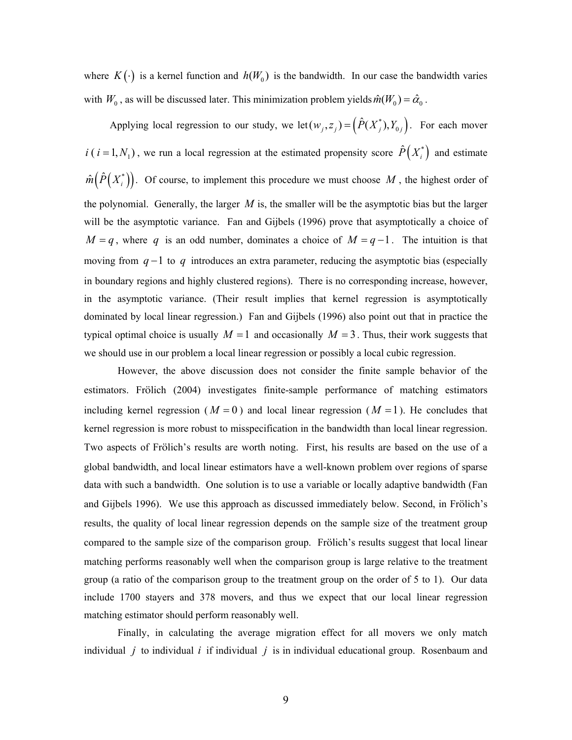where  $K(\cdot)$  is a kernel function and  $h(W_0)$  is the bandwidth. In our case the bandwidth varies with  $W_0$ , as will be discussed later. This minimization problem yields  $\hat{m}(W_0) = \hat{\alpha}_0$ .

Applying local regression to our study, we let  $(w_j, z_j) = (\hat{P}(X_j^*), Y_{0j})$ . For each mover  $i(i = 1, N<sub>1</sub>)$ , we run a local regression at the estimated propensity score  $\hat{P}(X_i^*)$  and estimate  $\hat{m}(\hat{P}(X_i^*))$ . Of course, to implement this procedure we must choose M, the highest order of the polynomial. Generally, the larger  $M$  is, the smaller will be the asymptotic bias but the larger will be the asymptotic variance. Fan and Gijbels (1996) prove that asymptotically a choice of *M* = *q*, where *q* is an odd number, dominates a choice of  $M = q - 1$ . The intuition is that moving from *q* −1 to *q* introduces an extra parameter, reducing the asymptotic bias (especially in boundary regions and highly clustered regions). There is no corresponding increase, however, in the asymptotic variance. (Their result implies that kernel regression is asymptotically dominated by local linear regression.) Fan and Gijbels (1996) also point out that in practice the typical optimal choice is usually  $M = 1$  and occasionally  $M = 3$ . Thus, their work suggests that we should use in our problem a local linear regression or possibly a local cubic regression.

However, the above discussion does not consider the finite sample behavior of the estimators. Frölich (2004) investigates finite-sample performance of matching estimators including kernel regression ( $M = 0$ ) and local linear regression ( $M = 1$ ). He concludes that kernel regression is more robust to misspecification in the bandwidth than local linear regression. Two aspects of Frölich's results are worth noting. First, his results are based on the use of a global bandwidth, and local linear estimators have a well-known problem over regions of sparse data with such a bandwidth. One solution is to use a variable or locally adaptive bandwidth (Fan and Gijbels 1996). We use this approach as discussed immediately below. Second, in Frölich's results, the quality of local linear regression depends on the sample size of the treatment group compared to the sample size of the comparison group. Frölich's results suggest that local linear matching performs reasonably well when the comparison group is large relative to the treatment group (a ratio of the comparison group to the treatment group on the order of 5 to 1). Our data include 1700 stayers and 378 movers, and thus we expect that our local linear regression matching estimator should perform reasonably well.

Finally, in calculating the average migration effect for all movers we only match individual *j* to individual *i* if individual *j* is in individual educational group. Rosenbaum and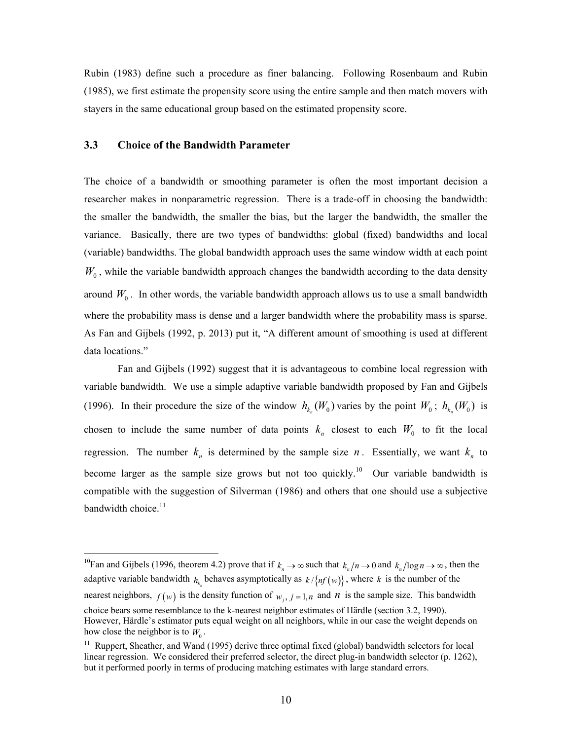Rubin (1983) define such a procedure as finer balancing. Following Rosenbaum and Rubin (1985), we first estimate the propensity score using the entire sample and then match movers with stayers in the same educational group based on the estimated propensity score.

## **3.3 Choice of the Bandwidth Parameter**

 $\overline{a}$ 

The choice of a bandwidth or smoothing parameter is often the most important decision a researcher makes in nonparametric regression. There is a trade-off in choosing the bandwidth: the smaller the bandwidth, the smaller the bias, but the larger the bandwidth, the smaller the variance. Basically, there are two types of bandwidths: global (fixed) bandwidths and local (variable) bandwidths. The global bandwidth approach uses the same window width at each point  $W_0$ , while the variable bandwidth approach changes the bandwidth according to the data density around  $W_0$ . In other words, the variable bandwidth approach allows us to use a small bandwidth where the probability mass is dense and a larger bandwidth where the probability mass is sparse. As Fan and Gijbels (1992, p. 2013) put it, "A different amount of smoothing is used at different data locations."

Fan and Gijbels (1992) suggest that it is advantageous to combine local regression with variable bandwidth. We use a simple adaptive variable bandwidth proposed by Fan and Gijbels (1996). In their procedure the size of the window  $h_{k_n}(W_0)$  varies by the point  $W_0$ ;  $h_{k_n}(W_0)$  is chosen to include the same number of data points  $k_n$  closest to each  $W_0$  to fit the local regression. The number  $k_n$  is determined by the sample size *n*. Essentially, we want  $k_n$  to become larger as the sample size grows but not too quickly.<sup>10</sup>Our variable bandwidth is compatible with the suggestion of Silverman (1986) and others that one should use a subjective bandwidth choice.<sup>11</sup>

<sup>10</sup>Fan and Gijbels (1996, theorem 4.2) prove that if  $k_n \to \infty$  such that  $k_n/n \to 0$  and  $k_n/\log n \to \infty$ , then the adaptive variable bandwidth  $h_{k_n}$  behaves asymptotically as  $k / {n f(w)}$ , where k is the number of the nearest neighbors,  $f(w)$  is the density function of  $w_i$ ,  $j = 1, n$  and *n* is the sample size. This bandwidth choice bears some resemblance to the k-nearest neighbor estimates of Härdle (section 3.2, 1990). However, Härdle's estimator puts equal weight on all neighbors, while in our case the weight depends on how close the neighbor is to  $W_0$ .

 $11$  Ruppert, Sheather, and Wand (1995) derive three optimal fixed (global) bandwidth selectors for local linear regression. We considered their preferred selector, the direct plug-in bandwidth selector (p. 1262), but it performed poorly in terms of producing matching estimates with large standard errors.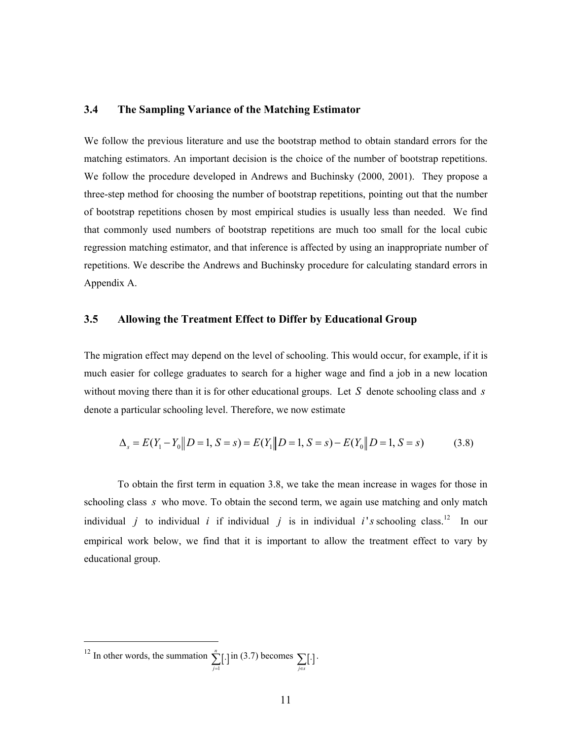### **3.4 The Sampling Variance of the Matching Estimator**

We follow the previous literature and use the bootstrap method to obtain standard errors for the matching estimators. An important decision is the choice of the number of bootstrap repetitions. We follow the procedure developed in Andrews and Buchinsky (2000, 2001). They propose a three-step method for choosing the number of bootstrap repetitions, pointing out that the number of bootstrap repetitions chosen by most empirical studies is usually less than needed. We find that commonly used numbers of bootstrap repetitions are much too small for the local cubic regression matching estimator, and that inference is affected by using an inappropriate number of repetitions. We describe the Andrews and Buchinsky procedure for calculating standard errors in Appendix A.

#### **3.5 Allowing the Treatment Effect to Differ by Educational Group**

The migration effect may depend on the level of schooling. This would occur, for example, if it is much easier for college graduates to search for a higher wage and find a job in a new location without moving there than it is for other educational groups. Let *S* denote schooling class and *s* denote a particular schooling level. Therefore, we now estimate

$$
\Delta_s = E(Y_1 - Y_0 \| D = 1, S = s) = E(Y_1 \| D = 1, S = s) - E(Y_0 \| D = 1, S = s)
$$
\n(3.8)

To obtain the first term in equation 3.8, we take the mean increase in wages for those in schooling class *s* who move. To obtain the second term, we again use matching and only match individual *j* to individual *i* if individual *j* is in individual *i*'s schooling class.<sup>12</sup> In our empirical work below, we find that it is important to allow the treatment effect to vary by educational group.

<sup>&</sup>lt;sup>12</sup> In other words, the summation  $\sum_{j=1}^{n}$ [.] *n*  $\sum_{j=1}^{n} [\cdot]$  in (3.7) becomes  $\sum_{j \in S} [\cdot]$ .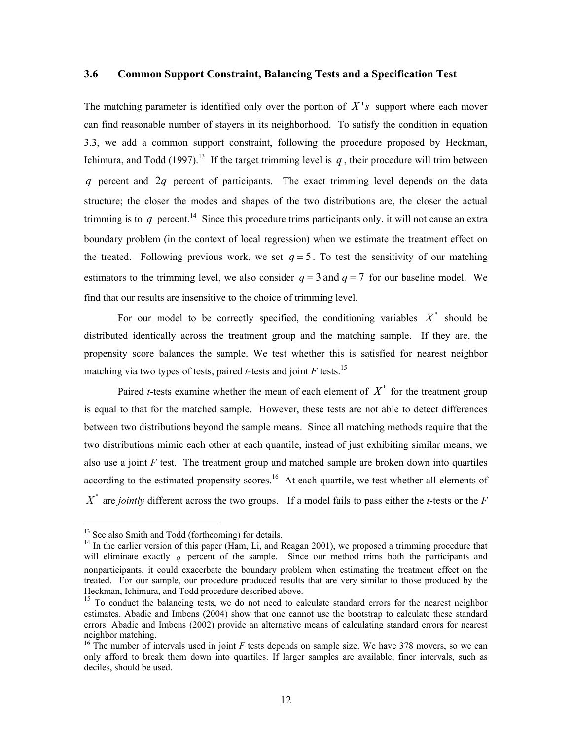#### **3.6 Common Support Constraint, Balancing Tests and a Specification Test**

The matching parameter is identified only over the portion of *X* '*s* support where each mover can find reasonable number of stayers in its neighborhood. To satisfy the condition in equation 3.3, we add a common support constraint, following the procedure proposed by Heckman, Ichimura, and Todd (1997).<sup>13</sup> If the target trimming level is  $q$ , their procedure will trim between *q* percent and 2*q* percent of participants. The exact trimming level depends on the data structure; the closer the modes and shapes of the two distributions are, the closer the actual trimming is to  $q$  percent.<sup>14</sup> Since this procedure trims participants only, it will not cause an extra boundary problem (in the context of local regression) when we estimate the treatment effect on the treated. Following previous work, we set  $q = 5$ . To test the sensitivity of our matching estimators to the trimming level, we also consider  $q = 3$  and  $q = 7$  for our baseline model. We find that our results are insensitive to the choice of trimming level.

For our model to be correctly specified, the conditioning variables  $X^*$  should be distributed identically across the treatment group and the matching sample. If they are, the propensity score balances the sample. We test whether this is satisfied for nearest neighbor matching via two types of tests, paired *t*-tests and joint  $F$  tests.<sup>15</sup>

Paired *t*-tests examine whether the mean of each element of  $X^*$  for the treatment group is equal to that for the matched sample. However, these tests are not able to detect differences between two distributions beyond the sample means. Since all matching methods require that the two distributions mimic each other at each quantile, instead of just exhibiting similar means, we also use a joint *F* test. The treatment group and matched sample are broken down into quartiles according to the estimated propensity scores.<sup>16</sup> At each quartile, we test whether all elements of  $X^*$  are *jointly* different across the two groups. If a model fails to pass either the *t*-tests or the *F* 

<sup>&</sup>lt;sup>13</sup> See also Smith and Todd (forthcoming) for details.<br><sup>14</sup> In the earlier version of this paper (Ham, Li, and Reagan 2001), we proposed a trimming procedure that will eliminate exactly  $q$  percent of the sample. Since our method trims both the participants and nonparticipants, it could exacerbate the boundary problem when estimating the treatment effect on the treated. For our sample, our procedure produced results that are very similar to those produced by the Heckman, Ichimura, and Todd procedure described above.

<sup>&</sup>lt;sup>15</sup> To conduct the balancing tests, we do not need to calculate standard errors for the nearest neighbor estimates. Abadie and Imbens (2004) show that one cannot use the bootstrap to calculate these standard errors. Abadie and Imbens (2002) provide an alternative means of calculating standard errors for nearest neighbor matching.

<sup>&</sup>lt;sup>16</sup> The number of intervals used in joint  $F$  tests depends on sample size. We have 378 movers, so we can only afford to break them down into quartiles. If larger samples are available, finer intervals, such as deciles, should be used.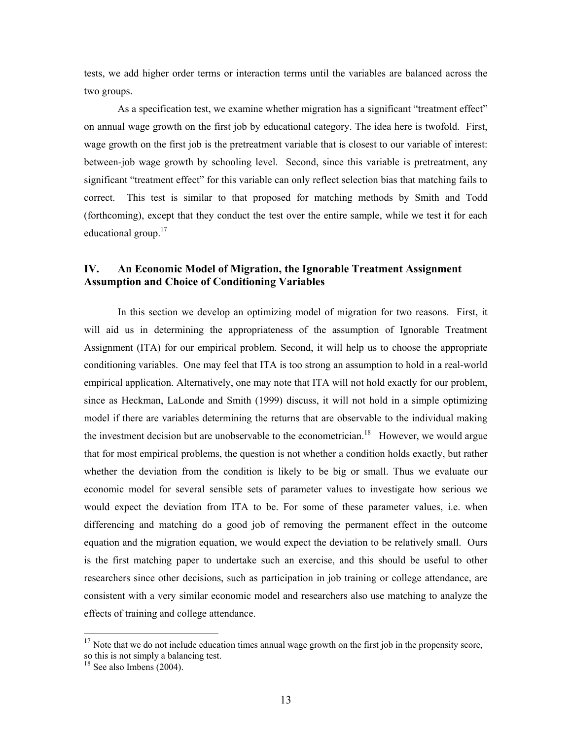tests, we add higher order terms or interaction terms until the variables are balanced across the two groups.

As a specification test, we examine whether migration has a significant "treatment effect" on annual wage growth on the first job by educational category. The idea here is twofold. First, wage growth on the first job is the pretreatment variable that is closest to our variable of interest: between-job wage growth by schooling level. Second, since this variable is pretreatment, any significant "treatment effect" for this variable can only reflect selection bias that matching fails to correct. This test is similar to that proposed for matching methods by Smith and Todd (forthcoming), except that they conduct the test over the entire sample, while we test it for each educational group.<sup>17</sup>

## **IV. An Economic Model of Migration, the Ignorable Treatment Assignment Assumption and Choice of Conditioning Variables**

In this section we develop an optimizing model of migration for two reasons. First, it will aid us in determining the appropriateness of the assumption of Ignorable Treatment Assignment (ITA) for our empirical problem. Second, it will help us to choose the appropriate conditioning variables. One may feel that ITA is too strong an assumption to hold in a real-world empirical application. Alternatively, one may note that ITA will not hold exactly for our problem, since as Heckman, LaLonde and Smith (1999) discuss, it will not hold in a simple optimizing model if there are variables determining the returns that are observable to the individual making the investment decision but are unobservable to the econometrician.<sup>18</sup> However, we would argue that for most empirical problems, the question is not whether a condition holds exactly, but rather whether the deviation from the condition is likely to be big or small. Thus we evaluate our economic model for several sensible sets of parameter values to investigate how serious we would expect the deviation from ITA to be. For some of these parameter values, i.e. when differencing and matching do a good job of removing the permanent effect in the outcome equation and the migration equation, we would expect the deviation to be relatively small. Ours is the first matching paper to undertake such an exercise, and this should be useful to other researchers since other decisions, such as participation in job training or college attendance, are consistent with a very similar economic model and researchers also use matching to analyze the effects of training and college attendance.

 $17$  Note that we do not include education times annual wage growth on the first job in the propensity score, so this is not simply a balancing test.

<sup>&</sup>lt;sup>18</sup> See also Imbens (2004).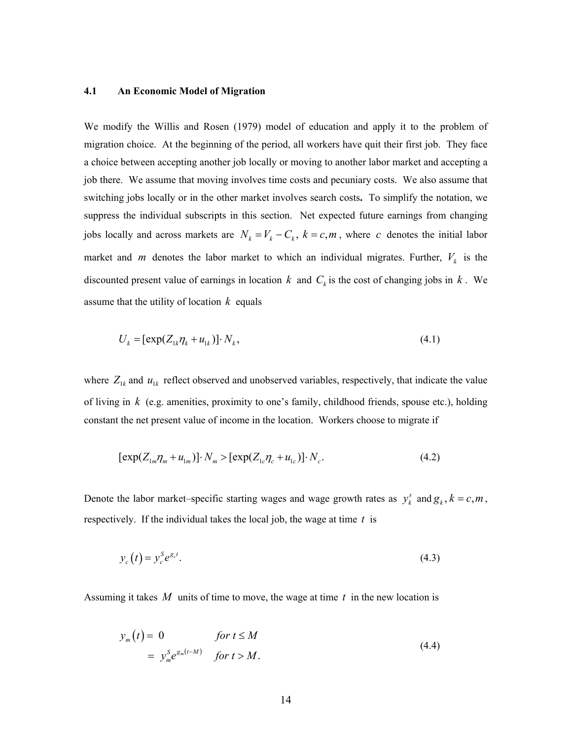#### **4.1 An Economic Model of Migration**

We modify the Willis and Rosen (1979) model of education and apply it to the problem of migration choice. At the beginning of the period, all workers have quit their first job. They face a choice between accepting another job locally or moving to another labor market and accepting a job there. We assume that moving involves time costs and pecuniary costs. We also assume that switching jobs locally or in the other market involves search costs**.** To simplify the notation, we suppress the individual subscripts in this section. Net expected future earnings from changing jobs locally and across markets are  $N_k = V_k - C_k$ ,  $k = c, m$ , where *c* denotes the initial labor market and *m* denotes the labor market to which an individual migrates. Further,  $V_k$  is the discounted present value of earnings in location  $k$  and  $C_k$  is the cost of changing jobs in  $k$ . We assume that the utility of location *k* equals

$$
U_k = \left[\exp(Z_{1k}\eta_k + u_{1k})\right] \cdot N_k,\tag{4.1}
$$

where  $Z_{1k}$  and  $u_{1k}$  reflect observed and unobserved variables, respectively, that indicate the value of living in *k* (e.g. amenities, proximity to one's family, childhood friends, spouse etc.), holding constant the net present value of income in the location. Workers choose to migrate if

$$
[\exp(Z_{1m}\eta_m + u_{1m})] \cdot N_m > [\exp(Z_{1c}\eta_c + u_{1c})] \cdot N_c.
$$
\n(4.2)

Denote the labor market–specific starting wages and wage growth rates as  $y_k^s$  and  $g_k$ ,  $k = c, m$ , respectively. If the individual takes the local job, the wage at time *t* is

$$
y_c(t) = y_c^S e^{g_c t}.\tag{4.3}
$$

Assuming it takes *M* units of time to move, the wage at time *t* in the new location is

$$
y_m(t) = 0 \t\t for \t t \le M
$$
  
= 
$$
y_m^S e^{g_m(t-M)} \t for \t > M.
$$
 (4.4)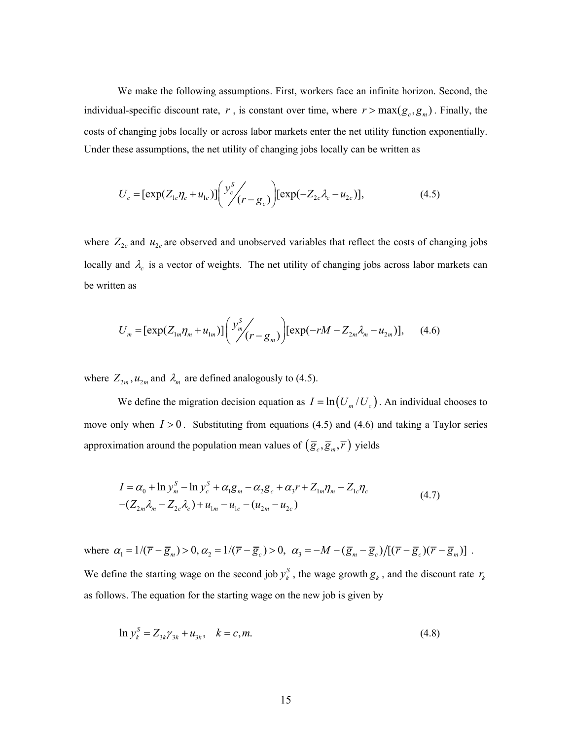We make the following assumptions. First, workers face an infinite horizon. Second, the individual-specific discount rate,  $r$ , is constant over time, where  $r > \max(g_c, g_m)$ . Finally, the costs of changing jobs locally or across labor markets enter the net utility function exponentially. Under these assumptions, the net utility of changing jobs locally can be written as

$$
U_c = [\exp(Z_{1c}\eta_c + u_{1c})] \left( \frac{y_c^S}{f(r - g_c)} \right) [\exp(-Z_{2c}\lambda_c - u_{2c})], \tag{4.5}
$$

where  $Z_{2c}$  and  $u_{2c}$  are observed and unobserved variables that reflect the costs of changing jobs locally and  $\lambda_c$  is a vector of weights. The net utility of changing jobs across labor markets can be written as

$$
U_m = [\exp(Z_{1m}\eta_m + u_{1m})] \binom{y_m^S}{r} \exp(-rM - Z_{2m}\lambda_m - u_{2m})], \quad (4.6)
$$

where  $Z_{2m}$ ,  $u_{2m}$  and  $\lambda_m$  are defined analogously to (4.5).

We define the migration decision equation as  $I = \ln(U_m/U_c)$ . An individual chooses to move only when  $I > 0$ . Substituting from equations (4.5) and (4.6) and taking a Taylor series approximation around the population mean values of  $(\overline{g}_c, \overline{g}_m, \overline{r})$  yields

$$
I = \alpha_0 + \ln y_m^S - \ln y_c^S + \alpha_1 g_m - \alpha_2 g_c + \alpha_3 r + Z_{1m} \eta_m - Z_{1c} \eta_c
$$
  
 
$$
-(Z_{2m} \lambda_m - Z_{2c} \lambda_c) + u_{1m} - u_{1c} - (u_{2m} - u_{2c})
$$
 (4.7)

where  $\alpha_1 = 1/(\overline{r} - \overline{g}_m) > 0$ ,  $\alpha_2 = 1/(\overline{r} - \overline{g}_c) > 0$ ,  $\alpha_3 = -M - (\overline{g}_m - \overline{g}_c)/[(\overline{r} - \overline{g}_c)(\overline{r} - \overline{g}_m)]$ .

We define the starting wage on the second job  $y_k^S$ , the wage growth  $g_k$ , and the discount rate  $r_k$ as follows. The equation for the starting wage on the new job is given by

$$
\ln y_k^S = Z_{3k} \gamma_{3k} + u_{3k}, \quad k = c, m. \tag{4.8}
$$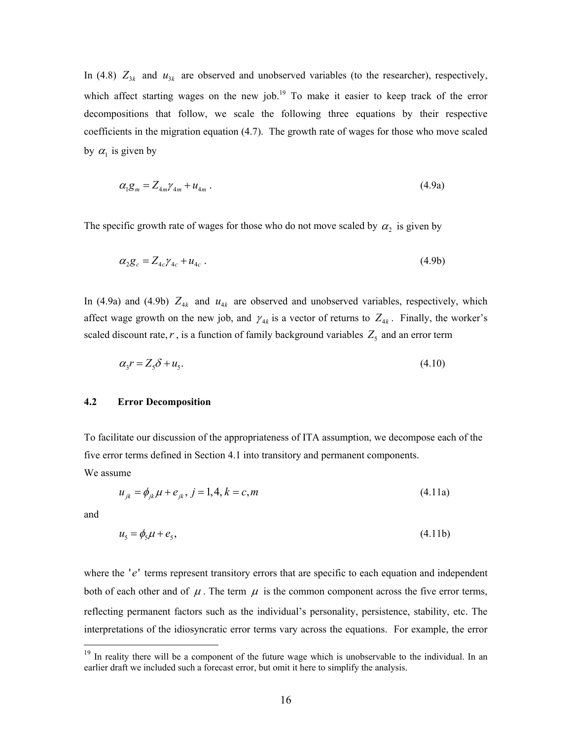In (4.8)  $Z_{3k}$  and  $u_{3k}$  are observed and unobserved variables (to the researcher), respectively, which affect starting wages on the new job.<sup>19</sup> To make it easier to keep track of the error decompositions that follow, we scale the following three equations by their respective coefficients in the migration equation (4.7). The growth rate of wages for those who move scaled by  $\alpha_1$  is given by

$$
\alpha_1 g_m = Z_{4m} \gamma_{4m} + u_{4m} \,. \tag{4.9a}
$$

The specific growth rate of wages for those who do not move scaled by  $\alpha_2$  is given by

$$
\alpha_2 g_c = Z_{4c} \gamma_{4c} + u_{4c} \tag{4.9b}
$$

In (4.9a) and (4.9b)  $Z_{4k}$  and  $u_{4k}$  are observed and unobserved variables, respectively, which affect wage growth on the new job, and  $\gamma_{4k}$  is a vector of returns to  $Z_{4k}$ . Finally, the worker's scaled discount rate,  $r$ , is a function of family background variables  $Z_5$  and an error term

 $\alpha_{\rm v} = Z_{\rm c} \delta + u_{\rm c}$  (4.10)

#### **4.2 Error Decomposition**

To facilitate our discussion of the appropriateness of ITA assumption, we decompose each of the five error terms defined in Section 4.1 into transitory and permanent components.

We assume

$$
u_{jk} = \phi_{jk} \mu + e_{jk}, \ j = 1, 4, k = c, m \tag{4.11a}
$$

and

 $\overline{a}$ 

$$
u5 = \phi5 \mu + e5, \tag{4.11b}
$$

where the 'e' terms represent transitory errors that are specific to each equation and independent both of each other and of  $\mu$ . The term  $\mu$  is the common component across the five error terms, reflecting permanent factors such as the individual's personality, persistence, stability, etc. The interpretations of the idiosyncratic error terms vary across the equations. For example, the error

 $19$  In reality there will be a component of the future wage which is unobservable to the individual. In an earlier draft we included such a forecast error, but omit it here to simplify the analysis.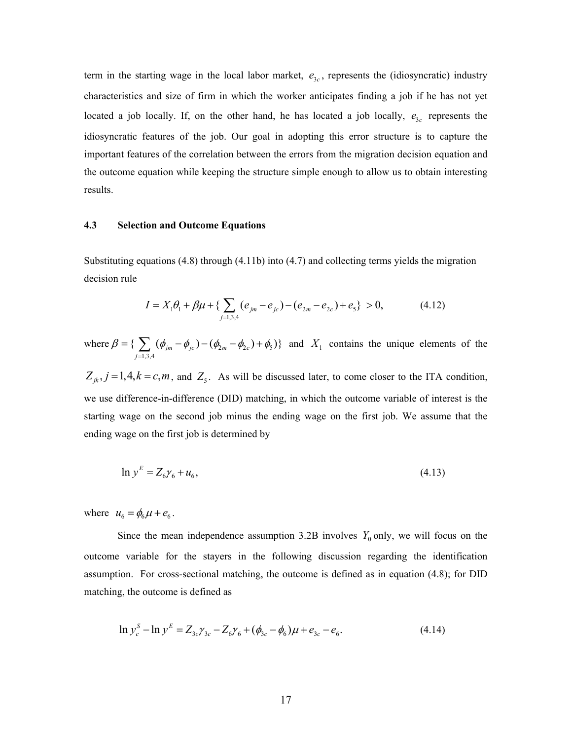term in the starting wage in the local labor market,  $e_{3c}$ , represents the (idiosyncratic) industry characteristics and size of firm in which the worker anticipates finding a job if he has not yet located a job locally. If, on the other hand, he has located a job locally,  $e_{3c}$  represents the idiosyncratic features of the job. Our goal in adopting this error structure is to capture the important features of the correlation between the errors from the migration decision equation and the outcome equation while keeping the structure simple enough to allow us to obtain interesting results.

#### **4.3 Selection and Outcome Equations**

Substituting equations (4.8) through (4.11b) into (4.7) and collecting terms yields the migration decision rule

$$
I = X_1 \theta_1 + \beta \mu + \left\{ \sum_{j=1,3,4} (e_{jm} - e_{jc}) - (e_{2m} - e_{2c}) + e_5 \right\} > 0,
$$
 (4.12)

where  $\beta = \{ \sum (\phi_{jm} - \phi_{jc}) - (\phi_{2m} - \phi_{2c}) + \phi_{5} \}$ 1,3,4  $\{\sum (\phi_{jm} - \phi_{jc}) - (\phi_{2m} - \phi_{2c}) + \phi_5)\}\$ *j*  $\beta = \{\sum_{m} (\phi_{im} - \phi_{ic}) - (\phi_{2m} - \phi_{2c}) + \phi_{5} \}$  $=\left\{\sum_{j=1,3,4} (\phi_{jm} - \phi_{jc}) - (\phi_{2m} - \phi_{2c}) + \phi_5 \right\}$  and  $X_1$  contains the unique elements of the  $Z_{jk}$ ,  $j = 1,4, k = c, m$ , and  $Z_5$ . As will be discussed later, to come closer to the ITA condition, we use difference-in-difference (DID) matching, in which the outcome variable of interest is the starting wage on the second job minus the ending wage on the first job. We assume that the

ending wage on the first job is determined by

$$
\ln y^E = Z_6 \gamma_6 + u_6,\tag{4.13}
$$

where  $u_6 = \phi_6 \mu + e_6$ .

Since the mean independence assumption 3.2B involves  $Y_0$  only, we will focus on the outcome variable for the stayers in the following discussion regarding the identification assumption. For cross-sectional matching, the outcome is defined as in equation (4.8); for DID matching, the outcome is defined as

$$
\ln y_c^S - \ln y^E = Z_{3c} \gamma_{3c} - Z_6 \gamma_6 + (\phi_{3c} - \phi_6) \mu + e_{3c} - e_6.
$$
 (4.14)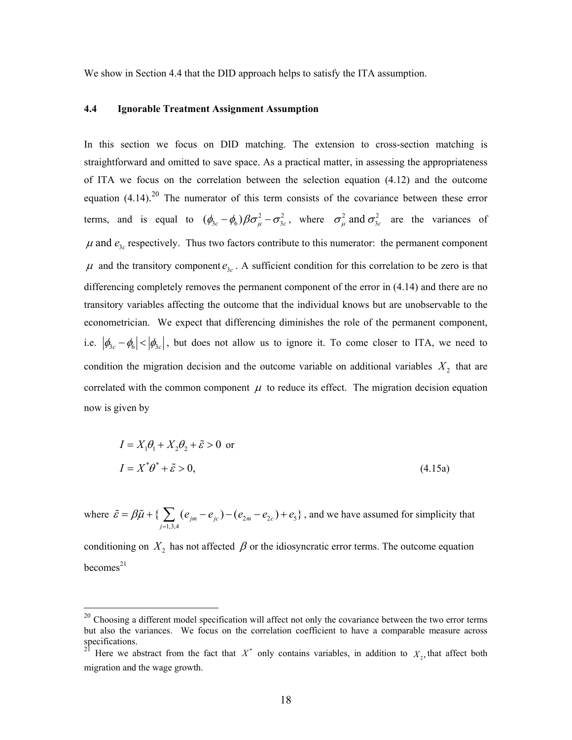We show in Section 4.4 that the DID approach helps to satisfy the ITA assumption.

#### **4.4 Ignorable Treatment Assignment Assumption**

In this section we focus on DID matching. The extension to cross-section matching is straightforward and omitted to save space. As a practical matter, in assessing the appropriateness of ITA we focus on the correlation between the selection equation (4.12) and the outcome equation  $(4.14)$ .<sup>20</sup> The numerator of this term consists of the covariance between these error terms, and is equal to  $(\phi_{3c} - \phi_6) \beta \sigma_\mu^2 - \sigma_{3c}^2$ , where  $\sigma_\mu^2$  and  $\sigma_{3c}^2$  are the variances of  $\mu$  and  $e_{3c}$  respectively. Thus two factors contribute to this numerator: the permanent component  $\mu$  and the transitory component  $e_{3c}$ . A sufficient condition for this correlation to be zero is that differencing completely removes the permanent component of the error in (4.14) and there are no transitory variables affecting the outcome that the individual knows but are unobservable to the econometrician. We expect that differencing diminishes the role of the permanent component, i.e.  $|\phi_{3c} - \phi_6| < |\phi_{3c}|$ , but does not allow us to ignore it. To come closer to ITA, we need to condition the migration decision and the outcome variable on additional variables  $X_2$  that are correlated with the common component  $\mu$  to reduce its effect. The migration decision equation now is given by

$$
I = X_1 \theta_1 + X_2 \theta_2 + \tilde{\varepsilon} > 0 \text{ or}
$$
  

$$
I = X^* \theta^* + \tilde{\varepsilon} > 0,
$$
 (4.15a)

where  $\tilde{\varepsilon} = \beta \tilde{\mu} + \left\{ \sum_{m} (e_{jm} - e_{jc}) - (e_{2m} - e_{2c}) + e_5 \right\}$ 1,3,4  $\{\sum (e_{jm} - e_{jc}) - (e_{2m} - e_{2c}) + e_{5}\}\$ *j*  $\tilde{\varepsilon} = \beta \tilde{\mu} + \left\{ \sum_{m} (e_{im} - e_{ic}) - (e_{im} - e_{ic}) + e \right\}$  $\tilde{\epsilon} = \beta \tilde{\mu} + \left\{ \sum_{j=1,3,4} (e_{jm} - e_{jc}) - (e_{2m} - e_{2c}) + e_5 \right\}$ , and we have assumed for simplicity that

conditioning on  $X_2$  has not affected  $\beta$  or the idiosyncratic error terms. The outcome equation  $becomes<sup>21</sup>$ 

 $20$  Choosing a different model specification will affect not only the covariance between the two error terms but also the variances. We focus on the correlation coefficient to have a comparable measure across specifications.

Here we abstract from the fact that  $X^*$  only contains variables, in addition to  $X_2$ , that affect both migration and the wage growth.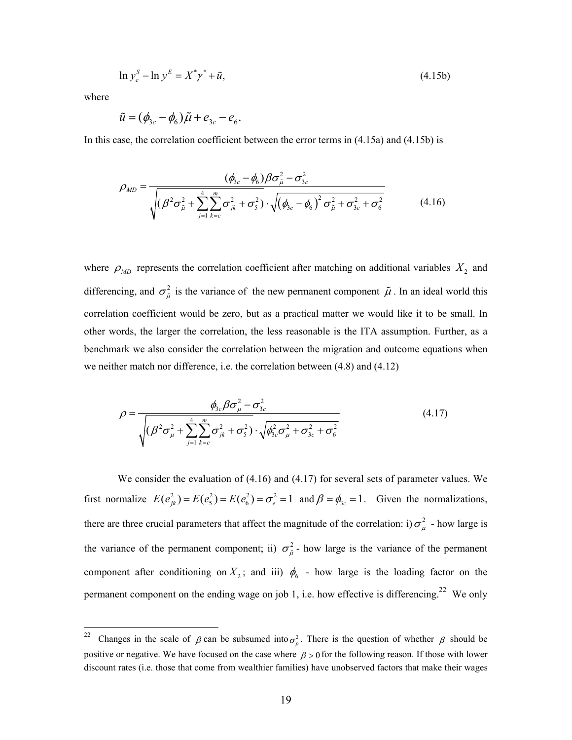$$
\ln y_c^S - \ln y^E = X^* \gamma^* + \tilde{u},\tag{4.15b}
$$

where

$$
\tilde{u} = (\phi_{3c} - \phi_6)\tilde{\mu} + e_{3c} - e_6.
$$

In this case, the correlation coefficient between the error terms in (4.15a) and (4.15b) is

$$
\rho_{MD} = \frac{(\phi_{3c} - \phi_6)\beta\sigma_{\tilde{\mu}}^2 - \sigma_{3c}^2}{\sqrt{(\beta^2\sigma_{\tilde{\mu}}^2 + \sum_{j=1}^4 \sum_{k=c}^m \sigma_{jk}^2 + \sigma_5^2)} \cdot \sqrt{(\phi_{3c} - \phi_6)^2 \sigma_{\tilde{\mu}}^2 + \sigma_{3c}^2 + \sigma_6^2}}
$$
(4.16)

where  $\rho_{MD}$  represents the correlation coefficient after matching on additional variables  $X_2$  and differencing, and  $\sigma_{\tilde{\mu}}^2$  is the variance of the new permanent component  $\tilde{\mu}$ . In an ideal world this correlation coefficient would be zero, but as a practical matter we would like it to be small. In other words, the larger the correlation, the less reasonable is the ITA assumption. Further, as a benchmark we also consider the correlation between the migration and outcome equations when we neither match nor difference, i.e. the correlation between (4.8) and (4.12)

$$
\rho = \frac{\phi_{3c}\beta\sigma_{\mu}^2 - \sigma_{3c}^2}{\sqrt{(\beta^2\sigma_{\mu}^2 + \sum_{j=1}^4 \sum_{k=c}^m \sigma_{jk}^2 + \sigma_{5}^2) \cdot \sqrt{\phi_{3c}^2\sigma_{\mu}^2 + \sigma_{3c}^2 + \sigma_{6}^2}}}
$$
(4.17)

We consider the evaluation of  $(4.16)$  and  $(4.17)$  for several sets of parameter values. We first normalize  $E(e_{jk}^2) = E(e_5^2) = E(e_6^2) = \sigma_e^2 = 1$  and  $\beta = \phi_{3c} = 1$ . Given the normalizations, there are three crucial parameters that affect the magnitude of the correlation: i)  $\sigma_u^2$  - how large is the variance of the permanent component; ii)  $\sigma_{\tilde{\mu}}^2$  - how large is the variance of the permanent component after conditioning on  $X_2$ ; and iii)  $\phi_6$  - how large is the loading factor on the permanent component on the ending wage on job 1, i.e. how effective is differencing.<sup>22</sup> We only

<sup>&</sup>lt;sup>22</sup> Changes in the scale of  $\beta$  can be subsumed into  $\sigma_{\tilde{v}}^2$ . There is the question of whether  $\beta$  should be positive or negative. We have focused on the case where  $\beta > 0$  for the following reason. If those with lower discount rates (i.e. those that come from wealthier families) have unobserved factors that make their wages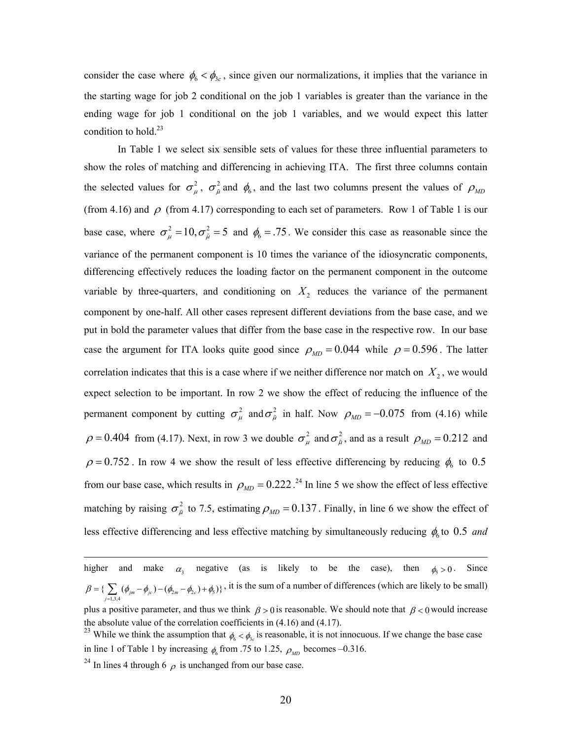consider the case where  $\phi_6 < \phi_{3c}$ , since given our normalizations, it implies that the variance in the starting wage for job 2 conditional on the job 1 variables is greater than the variance in the ending wage for job 1 conditional on the job 1 variables, and we would expect this latter condition to hold.<sup>23</sup>

In Table 1 we select six sensible sets of values for these three influential parameters to show the roles of matching and differencing in achieving ITA. The first three columns contain the selected values for  $\sigma_{\mu}^2$ ,  $\sigma_{\tilde{\mu}}^2$  and  $\phi_6$ , and the last two columns present the values of  $\rho_{MD}$ (from 4.16) and  $\rho$  (from 4.17) corresponding to each set of parameters. Row 1 of Table 1 is our base case, where  $\sigma_{\mu}^2 = 10$ ,  $\sigma_{\tilde{\mu}}^2 = 5$  and  $\phi_6 = 0.75$ . We consider this case as reasonable since the variance of the permanent component is 10 times the variance of the idiosyncratic components, differencing effectively reduces the loading factor on the permanent component in the outcome variable by three-quarters, and conditioning on  $X<sub>2</sub>$  reduces the variance of the permanent component by one-half. All other cases represent different deviations from the base case, and we put in bold the parameter values that differ from the base case in the respective row. In our base case the argument for ITA looks quite good since  $\rho_{MD} = 0.044$  while  $\rho = 0.596$ . The latter correlation indicates that this is a case where if we neither difference nor match on  $X_2$ , we would expect selection to be important. In row 2 we show the effect of reducing the influence of the permanent component by cutting  $\sigma_{\mu}^2$  and  $\sigma_{\tilde{\mu}}^2$  in half. Now  $\rho_{MD} = -0.075$  from (4.16) while  $\rho = 0.404$  from (4.17). Next, in row 3 we double  $\sigma_{\mu}^2$  and  $\sigma_{\tilde{\mu}}^2$ , and as a result  $\rho_{MD} = 0.212$  and  $\rho = 0.752$ . In row 4 we show the result of less effective differencing by reducing  $\phi_6$  to 0.5 from our base case, which results in  $\rho_{MD} = 0.222$ .<sup>24</sup> In line 5 we show the effect of less effective matching by raising  $\sigma_{\tilde{u}}^2$  to 7.5, estimating  $\rho_{MD} = 0.137$ . Finally, in line 6 we show the effect of less effective differencing and less effective matching by simultaneously reducing  $\phi_6$  to 0.5 *and* 

higher and make  $\alpha_3$  negative (as is likely to be the case), then  $\phi_5 > 0$ . Since  $\{\sum_{j=1,3,4} (\phi_{jm} - \phi_{jc}) - (\phi_{2m} - \phi_{2c}) + \phi_5)\}$  $\beta = \{\sum_{m}(\phi_{im} - \phi_{ic}) - (\phi_{im} - \phi_{ic}) + \phi_{ic}\}$  $=\left\{\sum_{j=1,3,4} (\phi_{jm} - \phi_{jc}) - (\phi_{2m} - \phi_{2c}) + \phi_5 \right\}$ , it is the sum of a number of differences (which are likely to be small) plus a positive parameter, and thus we think  $\beta > 0$  is reasonable. We should note that  $\beta < 0$  would increase the absolute value of the correlation coefficients in (4.16) and (4.17).

<sup>&</sup>lt;sup>23</sup> While we think the assumption that  $\phi_6 < \phi_3$  is reasonable, it is not innocuous. If we change the base case in line 1 of Table 1 by increasing  $\phi_6$  from .75 to 1.25,  $\rho_{MD}$  becomes –0.316.

<sup>&</sup>lt;sup>24</sup> In lines 4 through 6  $\rho$  is unchanged from our base case.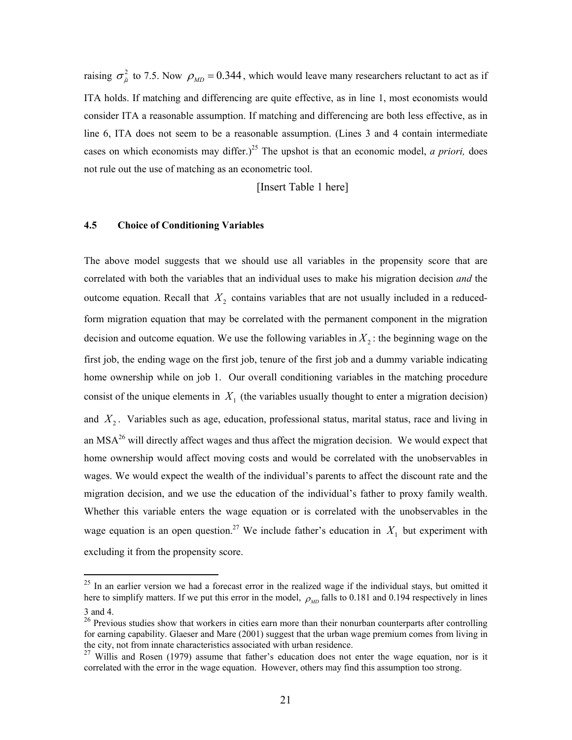raising  $\sigma_{\tilde{\mu}}^2$  to 7.5. Now  $\rho_{MD} = 0.344$ , which would leave many researchers reluctant to act as if ITA holds. If matching and differencing are quite effective, as in line 1, most economists would consider ITA a reasonable assumption. If matching and differencing are both less effective, as in line 6, ITA does not seem to be a reasonable assumption. (Lines 3 and 4 contain intermediate cases on which economists may differ.)<sup>25</sup> The upshot is that an economic model, *a priori*, does not rule out the use of matching as an econometric tool.

[Insert Table 1 here]

#### **4.5 Choice of Conditioning Variables**

The above model suggests that we should use all variables in the propensity score that are correlated with both the variables that an individual uses to make his migration decision *and* the outcome equation. Recall that  $X_2$  contains variables that are not usually included in a reducedform migration equation that may be correlated with the permanent component in the migration decision and outcome equation. We use the following variables in  $X<sub>2</sub>$ : the beginning wage on the first job, the ending wage on the first job, tenure of the first job and a dummy variable indicating home ownership while on job 1. Our overall conditioning variables in the matching procedure consist of the unique elements in  $X_1$  (the variables usually thought to enter a migration decision) and  $X_2$ . Variables such as age, education, professional status, marital status, race and living in an MSA<sup>26</sup> will directly affect wages and thus affect the migration decision. We would expect that home ownership would affect moving costs and would be correlated with the unobservables in wages. We would expect the wealth of the individual's parents to affect the discount rate and the migration decision, and we use the education of the individual's father to proxy family wealth. Whether this variable enters the wage equation or is correlated with the unobservables in the wage equation is an open question.<sup>27</sup> We include father's education in  $X_1$  but experiment with excluding it from the propensity score.

 $25$  In an earlier version we had a forecast error in the realized wage if the individual stays, but omitted it here to simplify matters. If we put this error in the model,  $\rho_{\mu D}$  falls to 0.181 and 0.194 respectively in lines 3 and 4.

<sup>&</sup>lt;sup>26</sup> Previous studies show that workers in cities earn more than their nonurban counterparts after controlling for earning capability. Glaeser and Mare (2001) suggest that the urban wage premium comes from living in the city, not from innate characteristics associated with urban residence.

 $27$  Willis and Rosen (1979) assume that father's education does not enter the wage equation, nor is it correlated with the error in the wage equation. However, others may find this assumption too strong.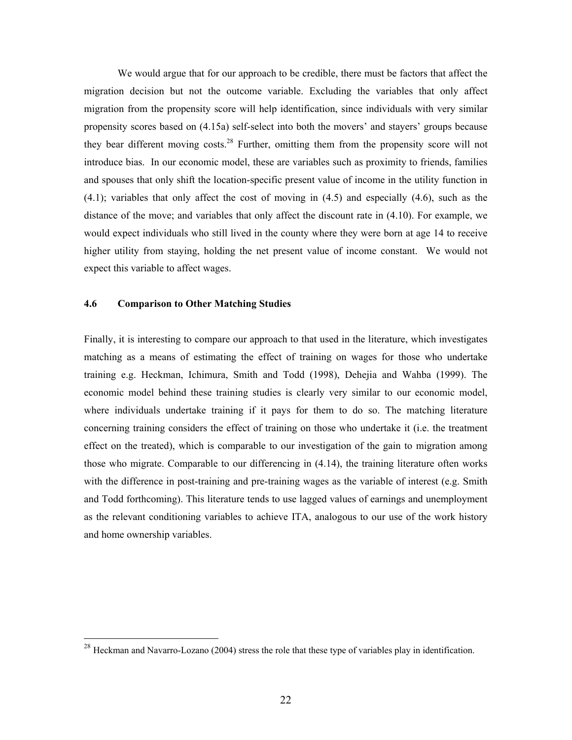We would argue that for our approach to be credible, there must be factors that affect the migration decision but not the outcome variable. Excluding the variables that only affect migration from the propensity score will help identification, since individuals with very similar propensity scores based on (4.15a) self-select into both the movers' and stayers' groups because they bear different moving costs.<sup>28</sup> Further, omitting them from the propensity score will not introduce bias. In our economic model, these are variables such as proximity to friends, families and spouses that only shift the location-specific present value of income in the utility function in (4.1); variables that only affect the cost of moving in (4.5) and especially (4.6), such as the distance of the move; and variables that only affect the discount rate in (4.10). For example, we would expect individuals who still lived in the county where they were born at age 14 to receive higher utility from staying, holding the net present value of income constant. We would not expect this variable to affect wages.

### **4.6 Comparison to Other Matching Studies**

 $\overline{a}$ 

Finally, it is interesting to compare our approach to that used in the literature, which investigates matching as a means of estimating the effect of training on wages for those who undertake training e.g. Heckman, Ichimura, Smith and Todd (1998), Dehejia and Wahba (1999). The economic model behind these training studies is clearly very similar to our economic model, where individuals undertake training if it pays for them to do so. The matching literature concerning training considers the effect of training on those who undertake it (i.e. the treatment effect on the treated), which is comparable to our investigation of the gain to migration among those who migrate. Comparable to our differencing in (4.14), the training literature often works with the difference in post-training and pre-training wages as the variable of interest (e.g. Smith and Todd forthcoming). This literature tends to use lagged values of earnings and unemployment as the relevant conditioning variables to achieve ITA, analogous to our use of the work history and home ownership variables.

 $^{28}$  Heckman and Navarro-Lozano (2004) stress the role that these type of variables play in identification.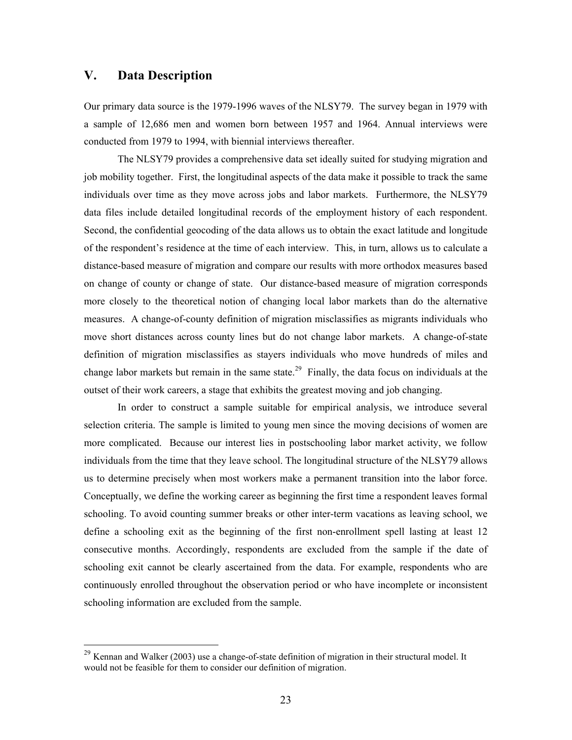## **V. Data Description**

 $\overline{a}$ 

Our primary data source is the 1979-1996 waves of the NLSY79. The survey began in 1979 with a sample of 12,686 men and women born between 1957 and 1964. Annual interviews were conducted from 1979 to 1994, with biennial interviews thereafter.

The NLSY79 provides a comprehensive data set ideally suited for studying migration and job mobility together. First, the longitudinal aspects of the data make it possible to track the same individuals over time as they move across jobs and labor markets. Furthermore, the NLSY79 data files include detailed longitudinal records of the employment history of each respondent. Second, the confidential geocoding of the data allows us to obtain the exact latitude and longitude of the respondent's residence at the time of each interview. This, in turn, allows us to calculate a distance-based measure of migration and compare our results with more orthodox measures based on change of county or change of state. Our distance-based measure of migration corresponds more closely to the theoretical notion of changing local labor markets than do the alternative measures. A change-of-county definition of migration misclassifies as migrants individuals who move short distances across county lines but do not change labor markets. A change-of-state definition of migration misclassifies as stayers individuals who move hundreds of miles and change labor markets but remain in the same state.<sup>29</sup> Finally, the data focus on individuals at the outset of their work careers, a stage that exhibits the greatest moving and job changing.

In order to construct a sample suitable for empirical analysis, we introduce several selection criteria. The sample is limited to young men since the moving decisions of women are more complicated. Because our interest lies in postschooling labor market activity, we follow individuals from the time that they leave school. The longitudinal structure of the NLSY79 allows us to determine precisely when most workers make a permanent transition into the labor force. Conceptually, we define the working career as beginning the first time a respondent leaves formal schooling. To avoid counting summer breaks or other inter-term vacations as leaving school, we define a schooling exit as the beginning of the first non-enrollment spell lasting at least 12 consecutive months. Accordingly, respondents are excluded from the sample if the date of schooling exit cannot be clearly ascertained from the data. For example, respondents who are continuously enrolled throughout the observation period or who have incomplete or inconsistent schooling information are excluded from the sample.

 $^{29}$  Kennan and Walker (2003) use a change-of-state definition of migration in their structural model. It would not be feasible for them to consider our definition of migration.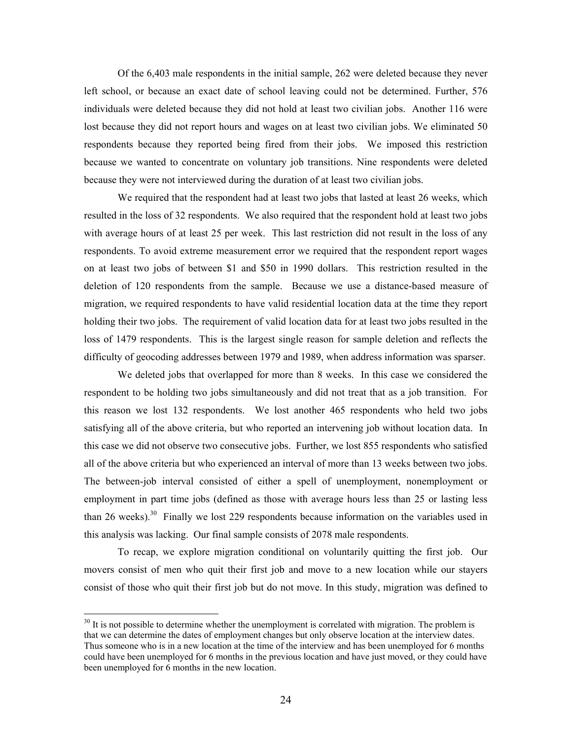Of the 6,403 male respondents in the initial sample, 262 were deleted because they never left school, or because an exact date of school leaving could not be determined. Further, 576 individuals were deleted because they did not hold at least two civilian jobs. Another 116 were lost because they did not report hours and wages on at least two civilian jobs. We eliminated 50 respondents because they reported being fired from their jobs. We imposed this restriction because we wanted to concentrate on voluntary job transitions. Nine respondents were deleted because they were not interviewed during the duration of at least two civilian jobs.

We required that the respondent had at least two jobs that lasted at least 26 weeks, which resulted in the loss of 32 respondents. We also required that the respondent hold at least two jobs with average hours of at least 25 per week. This last restriction did not result in the loss of any respondents. To avoid extreme measurement error we required that the respondent report wages on at least two jobs of between \$1 and \$50 in 1990 dollars. This restriction resulted in the deletion of 120 respondents from the sample. Because we use a distance-based measure of migration, we required respondents to have valid residential location data at the time they report holding their two jobs. The requirement of valid location data for at least two jobs resulted in the loss of 1479 respondents. This is the largest single reason for sample deletion and reflects the difficulty of geocoding addresses between 1979 and 1989, when address information was sparser.

We deleted jobs that overlapped for more than 8 weeks. In this case we considered the respondent to be holding two jobs simultaneously and did not treat that as a job transition. For this reason we lost 132 respondents. We lost another 465 respondents who held two jobs satisfying all of the above criteria, but who reported an intervening job without location data. In this case we did not observe two consecutive jobs. Further, we lost 855 respondents who satisfied all of the above criteria but who experienced an interval of more than 13 weeks between two jobs. The between-job interval consisted of either a spell of unemployment, nonemployment or employment in part time jobs (defined as those with average hours less than 25 or lasting less than 26 weeks).<sup>30</sup> Finally we lost 229 respondents because information on the variables used in this analysis was lacking. Our final sample consists of 2078 male respondents.

To recap, we explore migration conditional on voluntarily quitting the first job. Our movers consist of men who quit their first job and move to a new location while our stayers consist of those who quit their first job but do not move. In this study, migration was defined to

<sup>&</sup>lt;sup>30</sup> It is not possible to determine whether the unemployment is correlated with migration. The problem is that we can determine the dates of employment changes but only observe location at the interview dates. Thus someone who is in a new location at the time of the interview and has been unemployed for 6 months could have been unemployed for 6 months in the previous location and have just moved, or they could have been unemployed for 6 months in the new location.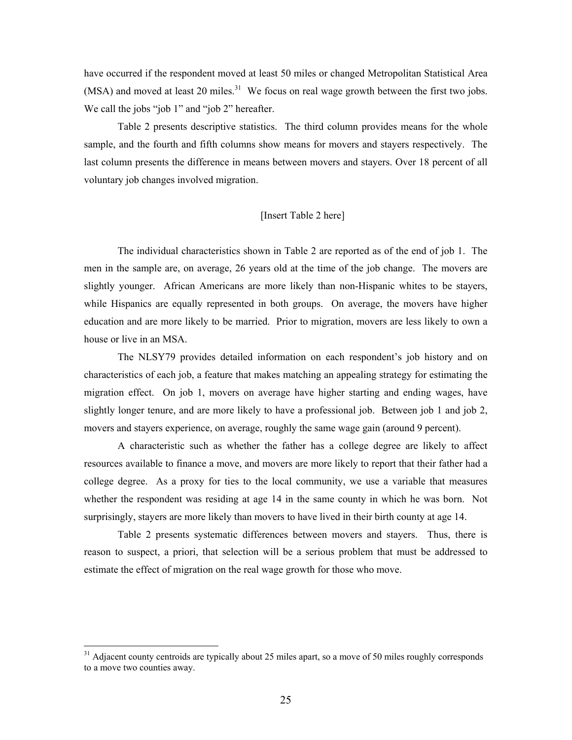have occurred if the respondent moved at least 50 miles or changed Metropolitan Statistical Area  $(MSA)$  and moved at least 20 miles.<sup>31</sup> We focus on real wage growth between the first two jobs. We call the jobs "job 1" and "job 2" hereafter.

Table 2 presents descriptive statistics. The third column provides means for the whole sample, and the fourth and fifth columns show means for movers and stayers respectively. The last column presents the difference in means between movers and stayers. Over 18 percent of all voluntary job changes involved migration.

## [Insert Table 2 here]

The individual characteristics shown in Table 2 are reported as of the end of job 1. The men in the sample are, on average, 26 years old at the time of the job change. The movers are slightly younger. African Americans are more likely than non-Hispanic whites to be stayers, while Hispanics are equally represented in both groups. On average, the movers have higher education and are more likely to be married. Prior to migration, movers are less likely to own a house or live in an MSA.

The NLSY79 provides detailed information on each respondent's job history and on characteristics of each job, a feature that makes matching an appealing strategy for estimating the migration effect. On job 1, movers on average have higher starting and ending wages, have slightly longer tenure, and are more likely to have a professional job. Between job 1 and job 2, movers and stayers experience, on average, roughly the same wage gain (around 9 percent).

A characteristic such as whether the father has a college degree are likely to affect resources available to finance a move, and movers are more likely to report that their father had a college degree. As a proxy for ties to the local community, we use a variable that measures whether the respondent was residing at age 14 in the same county in which he was born. Not surprisingly, stayers are more likely than movers to have lived in their birth county at age 14.

Table 2 presents systematic differences between movers and stayers. Thus, there is reason to suspect, a priori, that selection will be a serious problem that must be addressed to estimate the effect of migration on the real wage growth for those who move.

<sup>&</sup>lt;sup>31</sup> Adjacent county centroids are typically about 25 miles apart, so a move of 50 miles roughly corresponds to a move two counties away.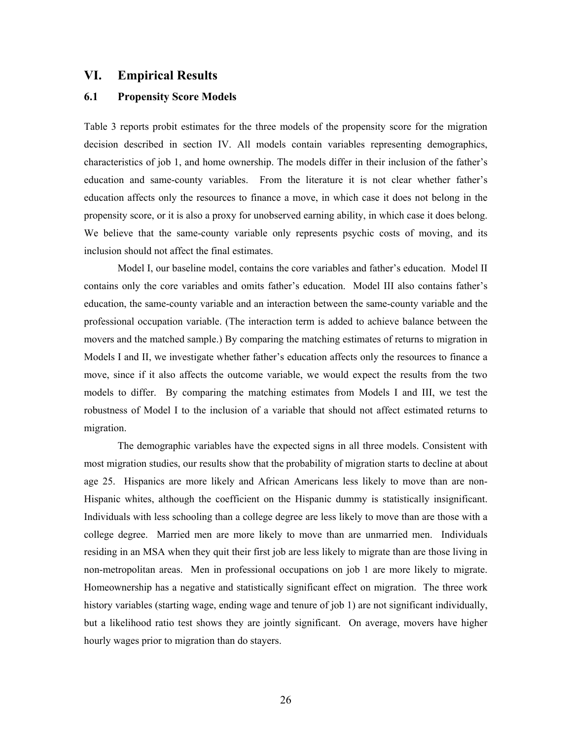## **VI. Empirical Results**

### **6.1 Propensity Score Models**

Table 3 reports probit estimates for the three models of the propensity score for the migration decision described in section IV. All models contain variables representing demographics, characteristics of job 1, and home ownership. The models differ in their inclusion of the father's education and same-county variables. From the literature it is not clear whether father's education affects only the resources to finance a move, in which case it does not belong in the propensity score, or it is also a proxy for unobserved earning ability, in which case it does belong. We believe that the same-county variable only represents psychic costs of moving, and its inclusion should not affect the final estimates.

Model I, our baseline model, contains the core variables and father's education. Model II contains only the core variables and omits father's education. Model III also contains father's education, the same-county variable and an interaction between the same-county variable and the professional occupation variable. (The interaction term is added to achieve balance between the movers and the matched sample.) By comparing the matching estimates of returns to migration in Models I and II, we investigate whether father's education affects only the resources to finance a move, since if it also affects the outcome variable, we would expect the results from the two models to differ. By comparing the matching estimates from Models I and III, we test the robustness of Model I to the inclusion of a variable that should not affect estimated returns to migration.

The demographic variables have the expected signs in all three models. Consistent with most migration studies, our results show that the probability of migration starts to decline at about age 25. Hispanics are more likely and African Americans less likely to move than are non-Hispanic whites, although the coefficient on the Hispanic dummy is statistically insignificant. Individuals with less schooling than a college degree are less likely to move than are those with a college degree. Married men are more likely to move than are unmarried men. Individuals residing in an MSA when they quit their first job are less likely to migrate than are those living in non-metropolitan areas. Men in professional occupations on job 1 are more likely to migrate. Homeownership has a negative and statistically significant effect on migration. The three work history variables (starting wage, ending wage and tenure of job 1) are not significant individually, but a likelihood ratio test shows they are jointly significant. On average, movers have higher hourly wages prior to migration than do stayers.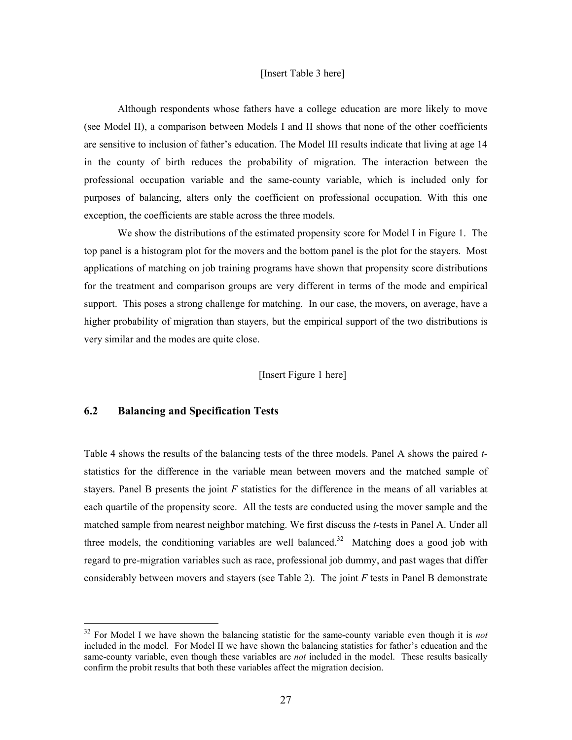#### [Insert Table 3 here]

Although respondents whose fathers have a college education are more likely to move (see Model II), a comparison between Models I and II shows that none of the other coefficients are sensitive to inclusion of father's education. The Model III results indicate that living at age 14 in the county of birth reduces the probability of migration. The interaction between the professional occupation variable and the same-county variable, which is included only for purposes of balancing, alters only the coefficient on professional occupation. With this one exception, the coefficients are stable across the three models.

We show the distributions of the estimated propensity score for Model I in Figure 1. The top panel is a histogram plot for the movers and the bottom panel is the plot for the stayers. Most applications of matching on job training programs have shown that propensity score distributions for the treatment and comparison groups are very different in terms of the mode and empirical support. This poses a strong challenge for matching. In our case, the movers, on average, have a higher probability of migration than stayers, but the empirical support of the two distributions is very similar and the modes are quite close.

## [Insert Figure 1 here]

## **6.2 Balancing and Specification Tests**

 $\overline{a}$ 

Table 4 shows the results of the balancing tests of the three models. Panel A shows the paired *t*statistics for the difference in the variable mean between movers and the matched sample of stayers. Panel B presents the joint *F* statistics for the difference in the means of all variables at each quartile of the propensity score. All the tests are conducted using the mover sample and the matched sample from nearest neighbor matching. We first discuss the *t-*tests in Panel A. Under all three models, the conditioning variables are well balanced.<sup>32</sup> Matching does a good job with regard to pre-migration variables such as race, professional job dummy, and past wages that differ considerably between movers and stayers (see Table 2). The joint *F* tests in Panel B demonstrate

<sup>32</sup> For Model I we have shown the balancing statistic for the same-county variable even though it is *not* included in the model. For Model II we have shown the balancing statistics for father's education and the same-county variable, even though these variables are *not* included in the model. These results basically confirm the probit results that both these variables affect the migration decision.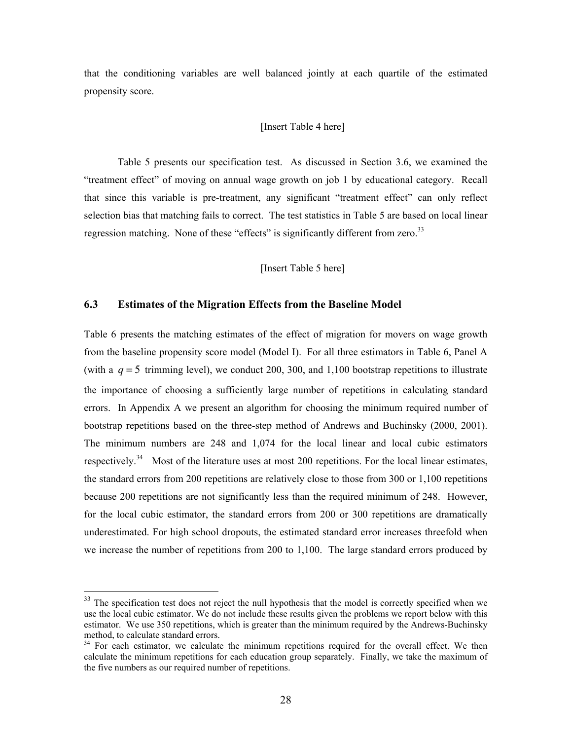that the conditioning variables are well balanced jointly at each quartile of the estimated propensity score.

#### [Insert Table 4 here]

Table 5 presents our specification test. As discussed in Section 3.6, we examined the "treatment effect" of moving on annual wage growth on job 1 by educational category. Recall that since this variable is pre-treatment, any significant "treatment effect" can only reflect selection bias that matching fails to correct. The test statistics in Table 5 are based on local linear regression matching. None of these "effects" is significantly different from zero.<sup>33</sup>

#### [Insert Table 5 here]

## **6.3 Estimates of the Migration Effects from the Baseline Model**

Table 6 presents the matching estimates of the effect of migration for movers on wage growth from the baseline propensity score model (Model I). For all three estimators in Table 6, Panel A (with a  $q = 5$  trimming level), we conduct 200, 300, and 1,100 bootstrap repetitions to illustrate the importance of choosing a sufficiently large number of repetitions in calculating standard errors. In Appendix A we present an algorithm for choosing the minimum required number of bootstrap repetitions based on the three-step method of Andrews and Buchinsky (2000, 2001). The minimum numbers are 248 and 1,074 for the local linear and local cubic estimators respectively.<sup>34</sup> Most of the literature uses at most 200 repetitions. For the local linear estimates, the standard errors from 200 repetitions are relatively close to those from 300 or 1,100 repetitions because 200 repetitions are not significantly less than the required minimum of 248. However, for the local cubic estimator, the standard errors from 200 or 300 repetitions are dramatically underestimated. For high school dropouts, the estimated standard error increases threefold when we increase the number of repetitions from 200 to 1,100. The large standard errors produced by

<sup>&</sup>lt;sup>33</sup> The specification test does not reject the null hypothesis that the model is correctly specified when we use the local cubic estimator. We do not include these results given the problems we report below with this estimator. We use 350 repetitions, which is greater than the minimum required by the Andrews-Buchinsky method, to calculate standard errors.

<sup>&</sup>lt;sup>34</sup> For each estimator, we calculate the minimum repetitions required for the overall effect. We then calculate the minimum repetitions for each education group separately. Finally, we take the maximum of the five numbers as our required number of repetitions.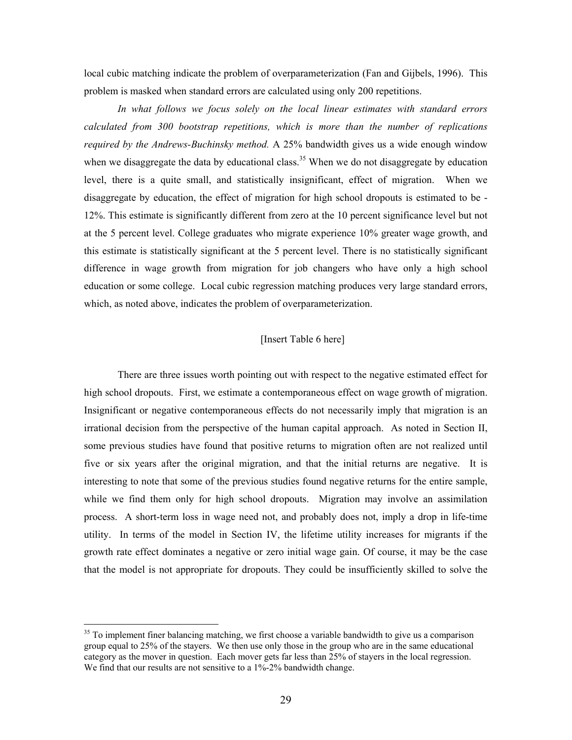local cubic matching indicate the problem of overparameterization (Fan and Gijbels, 1996). This problem is masked when standard errors are calculated using only 200 repetitions.

*In what follows we focus solely on the local linear estimates with standard errors calculated from 300 bootstrap repetitions, which is more than the number of replications required by the Andrews-Buchinsky method.* A 25% bandwidth gives us a wide enough window when we disaggregate the data by educational class.<sup>35</sup> When we do not disaggregate by education level, there is a quite small, and statistically insignificant, effect of migration. When we disaggregate by education, the effect of migration for high school dropouts is estimated to be - 12%. This estimate is significantly different from zero at the 10 percent significance level but not at the 5 percent level. College graduates who migrate experience 10% greater wage growth, and this estimate is statistically significant at the 5 percent level. There is no statistically significant difference in wage growth from migration for job changers who have only a high school education or some college. Local cubic regression matching produces very large standard errors, which, as noted above, indicates the problem of overparameterization.

## [Insert Table 6 here]

There are three issues worth pointing out with respect to the negative estimated effect for high school dropouts. First, we estimate a contemporaneous effect on wage growth of migration. Insignificant or negative contemporaneous effects do not necessarily imply that migration is an irrational decision from the perspective of the human capital approach. As noted in Section II, some previous studies have found that positive returns to migration often are not realized until five or six years after the original migration, and that the initial returns are negative. It is interesting to note that some of the previous studies found negative returns for the entire sample, while we find them only for high school dropouts. Migration may involve an assimilation process. A short-term loss in wage need not, and probably does not, imply a drop in life-time utility. In terms of the model in Section IV, the lifetime utility increases for migrants if the growth rate effect dominates a negative or zero initial wage gain. Of course, it may be the case that the model is not appropriate for dropouts. They could be insufficiently skilled to solve the

 $35$  To implement finer balancing matching, we first choose a variable bandwidth to give us a comparison group equal to 25% of the stayers. We then use only those in the group who are in the same educational category as the mover in question. Each mover gets far less than 25% of stayers in the local regression. We find that our results are not sensitive to a 1%-2% bandwidth change.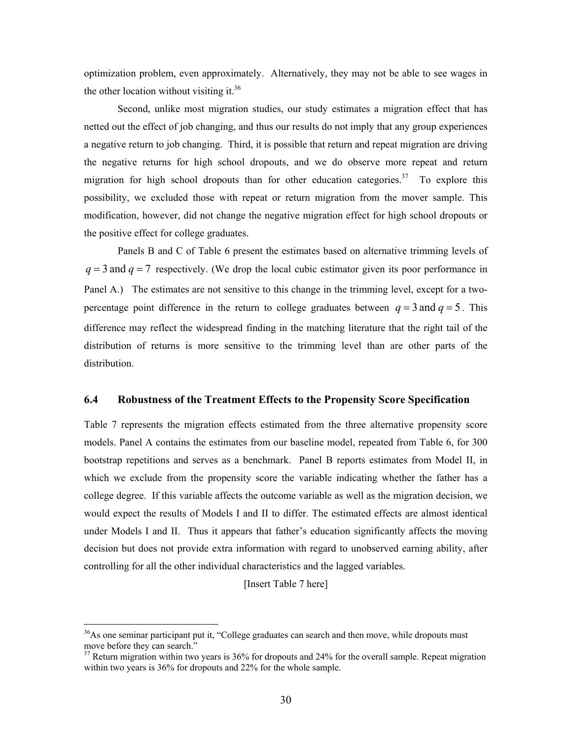optimization problem, even approximately. Alternatively, they may not be able to see wages in the other location without visiting it.<sup>36</sup>

Second, unlike most migration studies, our study estimates a migration effect that has netted out the effect of job changing, and thus our results do not imply that any group experiences a negative return to job changing. Third, it is possible that return and repeat migration are driving the negative returns for high school dropouts, and we do observe more repeat and return migration for high school dropouts than for other education categories.<sup>37</sup> To explore this possibility, we excluded those with repeat or return migration from the mover sample. This modification, however, did not change the negative migration effect for high school dropouts or the positive effect for college graduates.

Panels B and C of Table 6 present the estimates based on alternative trimming levels of  $q = 3$  and  $q = 7$  respectively. (We drop the local cubic estimator given its poor performance in Panel A.) The estimates are not sensitive to this change in the trimming level, except for a twopercentage point difference in the return to college graduates between  $q = 3$  and  $q = 5$ . This difference may reflect the widespread finding in the matching literature that the right tail of the distribution of returns is more sensitive to the trimming level than are other parts of the distribution.

#### **6.4 Robustness of the Treatment Effects to the Propensity Score Specification**

Table 7 represents the migration effects estimated from the three alternative propensity score models. Panel A contains the estimates from our baseline model, repeated from Table 6, for 300 bootstrap repetitions and serves as a benchmark. Panel B reports estimates from Model II, in which we exclude from the propensity score the variable indicating whether the father has a college degree. If this variable affects the outcome variable as well as the migration decision, we would expect the results of Models I and II to differ. The estimated effects are almost identical under Models I and II. Thus it appears that father's education significantly affects the moving decision but does not provide extra information with regard to unobserved earning ability, after controlling for all the other individual characteristics and the lagged variables.

[Insert Table 7 here]

 $36$ As one seminar participant put it, "College graduates can search and then move, while dropouts must move before they can search."

 $37$  Return migration within two years is 36% for dropouts and 24% for the overall sample. Repeat migration within two years is 36% for dropouts and 22% for the whole sample.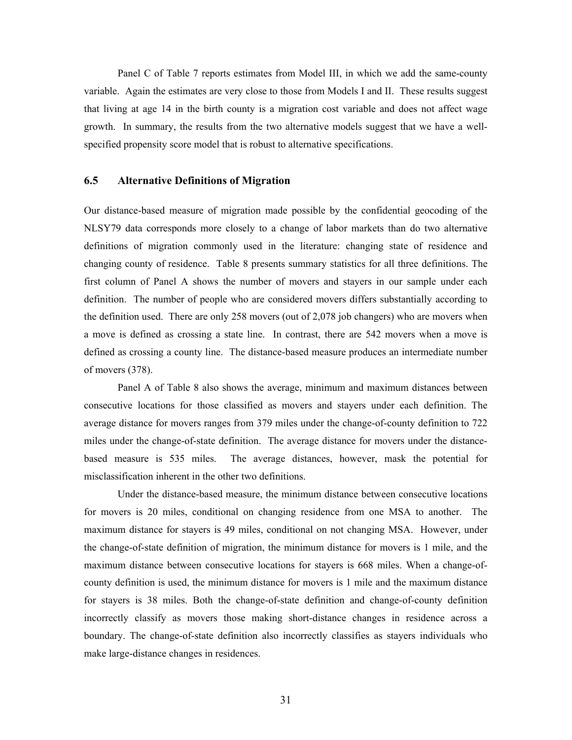Panel C of Table 7 reports estimates from Model III, in which we add the same-county variable. Again the estimates are very close to those from Models I and II. These results suggest that living at age 14 in the birth county is a migration cost variable and does not affect wage growth. In summary, the results from the two alternative models suggest that we have a wellspecified propensity score model that is robust to alternative specifications.

#### **6.5 Alternative Definitions of Migration**

Our distance-based measure of migration made possible by the confidential geocoding of the NLSY79 data corresponds more closely to a change of labor markets than do two alternative definitions of migration commonly used in the literature: changing state of residence and changing county of residence. Table 8 presents summary statistics for all three definitions. The first column of Panel A shows the number of movers and stayers in our sample under each definition. The number of people who are considered movers differs substantially according to the definition used. There are only 258 movers (out of 2,078 job changers) who are movers when a move is defined as crossing a state line. In contrast, there are 542 movers when a move is defined as crossing a county line. The distance-based measure produces an intermediate number of movers (378).

Panel A of Table 8 also shows the average, minimum and maximum distances between consecutive locations for those classified as movers and stayers under each definition. The average distance for movers ranges from 379 miles under the change-of-county definition to 722 miles under the change-of-state definition. The average distance for movers under the distancebased measure is 535 miles. The average distances, however, mask the potential for misclassification inherent in the other two definitions.

Under the distance-based measure, the minimum distance between consecutive locations for movers is 20 miles, conditional on changing residence from one MSA to another. The maximum distance for stayers is 49 miles, conditional on not changing MSA. However, under the change-of-state definition of migration, the minimum distance for movers is 1 mile, and the maximum distance between consecutive locations for stayers is 668 miles. When a change-ofcounty definition is used, the minimum distance for movers is 1 mile and the maximum distance for stayers is 38 miles. Both the change-of-state definition and change-of-county definition incorrectly classify as movers those making short-distance changes in residence across a boundary. The change-of-state definition also incorrectly classifies as stayers individuals who make large-distance changes in residences.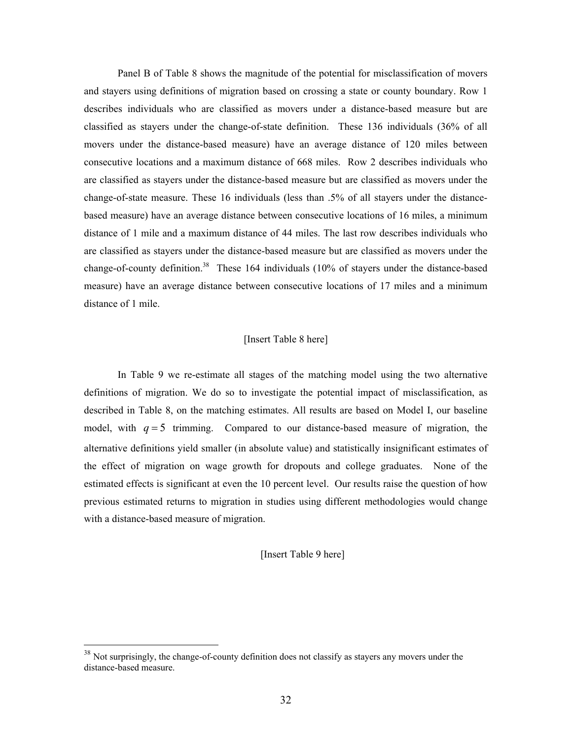Panel B of Table 8 shows the magnitude of the potential for misclassification of movers and stayers using definitions of migration based on crossing a state or county boundary. Row 1 describes individuals who are classified as movers under a distance-based measure but are classified as stayers under the change-of-state definition. These 136 individuals (36% of all movers under the distance-based measure) have an average distance of 120 miles between consecutive locations and a maximum distance of 668 miles. Row 2 describes individuals who are classified as stayers under the distance-based measure but are classified as movers under the change-of-state measure. These 16 individuals (less than .5% of all stayers under the distancebased measure) have an average distance between consecutive locations of 16 miles, a minimum distance of 1 mile and a maximum distance of 44 miles. The last row describes individuals who are classified as stayers under the distance-based measure but are classified as movers under the change-of-county definition.<sup>38</sup> These 164 individuals (10% of stayers under the distance-based measure) have an average distance between consecutive locations of 17 miles and a minimum distance of 1 mile.

#### [Insert Table 8 here]

In Table 9 we re-estimate all stages of the matching model using the two alternative definitions of migration. We do so to investigate the potential impact of misclassification, as described in Table 8, on the matching estimates. All results are based on Model I, our baseline model, with  $q = 5$  trimming. Compared to our distance-based measure of migration, the alternative definitions yield smaller (in absolute value) and statistically insignificant estimates of the effect of migration on wage growth for dropouts and college graduates. None of the estimated effects is significant at even the 10 percent level. Our results raise the question of how previous estimated returns to migration in studies using different methodologies would change with a distance-based measure of migration.

[Insert Table 9 here]

<sup>&</sup>lt;sup>38</sup> Not surprisingly, the change-of-county definition does not classify as stayers any movers under the distance-based measure.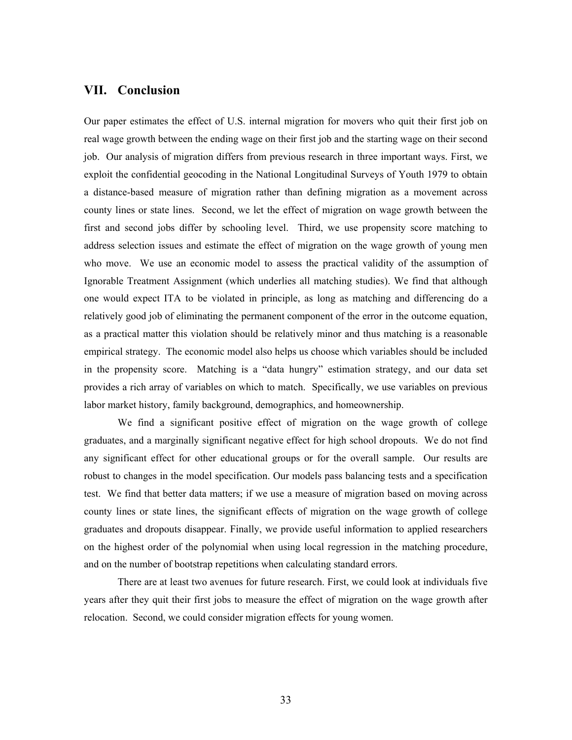## **VII. Conclusion**

Our paper estimates the effect of U.S. internal migration for movers who quit their first job on real wage growth between the ending wage on their first job and the starting wage on their second job. Our analysis of migration differs from previous research in three important ways. First, we exploit the confidential geocoding in the National Longitudinal Surveys of Youth 1979 to obtain a distance-based measure of migration rather than defining migration as a movement across county lines or state lines. Second, we let the effect of migration on wage growth between the first and second jobs differ by schooling level. Third, we use propensity score matching to address selection issues and estimate the effect of migration on the wage growth of young men who move. We use an economic model to assess the practical validity of the assumption of Ignorable Treatment Assignment (which underlies all matching studies). We find that although one would expect ITA to be violated in principle, as long as matching and differencing do a relatively good job of eliminating the permanent component of the error in the outcome equation, as a practical matter this violation should be relatively minor and thus matching is a reasonable empirical strategy. The economic model also helps us choose which variables should be included in the propensity score. Matching is a "data hungry" estimation strategy, and our data set provides a rich array of variables on which to match. Specifically, we use variables on previous labor market history, family background, demographics, and homeownership.

We find a significant positive effect of migration on the wage growth of college graduates, and a marginally significant negative effect for high school dropouts. We do not find any significant effect for other educational groups or for the overall sample. Our results are robust to changes in the model specification. Our models pass balancing tests and a specification test. We find that better data matters; if we use a measure of migration based on moving across county lines or state lines, the significant effects of migration on the wage growth of college graduates and dropouts disappear. Finally, we provide useful information to applied researchers on the highest order of the polynomial when using local regression in the matching procedure, and on the number of bootstrap repetitions when calculating standard errors.

 There are at least two avenues for future research. First, we could look at individuals five years after they quit their first jobs to measure the effect of migration on the wage growth after relocation. Second, we could consider migration effects for young women.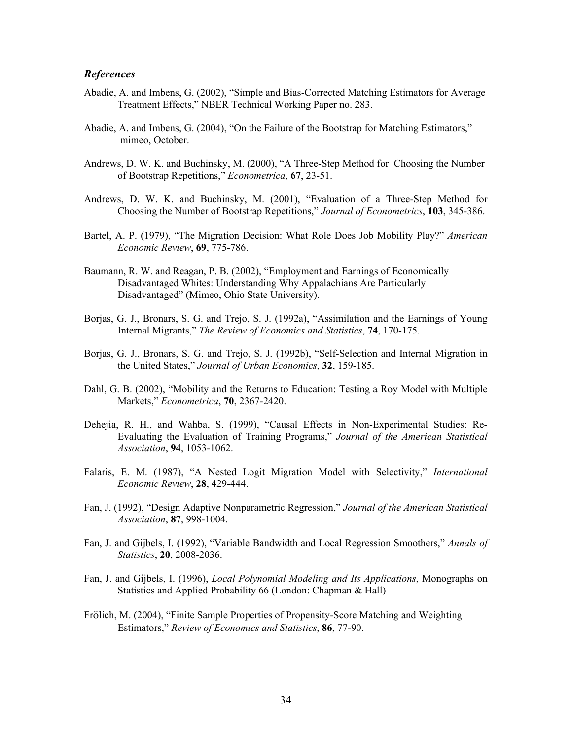### *References*

- Abadie, A. and Imbens, G. (2002), "Simple and Bias-Corrected Matching Estimators for Average Treatment Effects," NBER Technical Working Paper no. 283.
- Abadie, A. and Imbens, G. (2004), "On the Failure of the Bootstrap for Matching Estimators," mimeo, October.
- Andrews, D. W. K. and Buchinsky, M. (2000), "A Three-Step Method for Choosing the Number of Bootstrap Repetitions," *Econometrica*, **67**, 23-51.
- Andrews, D. W. K. and Buchinsky, M. (2001), "Evaluation of a Three-Step Method for Choosing the Number of Bootstrap Repetitions," *Journal of Econometrics*, **103**, 345-386.
- Bartel, A. P. (1979), "The Migration Decision: What Role Does Job Mobility Play?" *American Economic Review*, **69**, 775-786.
- Baumann, R. W. and Reagan, P. B. (2002), "Employment and Earnings of Economically Disadvantaged Whites: Understanding Why Appalachians Are Particularly Disadvantaged" (Mimeo, Ohio State University).
- Borjas, G. J., Bronars, S. G. and Trejo, S. J. (1992a), "Assimilation and the Earnings of Young Internal Migrants," *The Review of Economics and Statistics*, **74**, 170-175.
- Borjas, G. J., Bronars, S. G. and Trejo, S. J. (1992b), "Self-Selection and Internal Migration in the United States," *Journal of Urban Economics*, **32**, 159-185.
- Dahl, G. B. (2002), "Mobility and the Returns to Education: Testing a Roy Model with Multiple Markets," *Econometrica*, **70**, 2367-2420.
- Dehejia, R. H., and Wahba, S. (1999), "Causal Effects in Non-Experimental Studies: Re-Evaluating the Evaluation of Training Programs," *Journal of the American Statistical Association*, **94**, 1053-1062.
- Falaris, E. M. (1987), "A Nested Logit Migration Model with Selectivity," *International Economic Review*, **28**, 429-444.
- Fan, J. (1992), "Design Adaptive Nonparametric Regression," *Journal of the American Statistical Association*, **87**, 998-1004.
- Fan, J. and Gijbels, I. (1992), "Variable Bandwidth and Local Regression Smoothers," *Annals of Statistics*, **20**, 2008-2036.
- Fan, J. and Gijbels, I. (1996), *Local Polynomial Modeling and Its Applications*, Monographs on Statistics and Applied Probability 66 (London: Chapman & Hall)
- Frölich, M. (2004), "Finite Sample Properties of Propensity-Score Matching and Weighting Estimators," *Review of Economics and Statistics*, **86**, 77-90.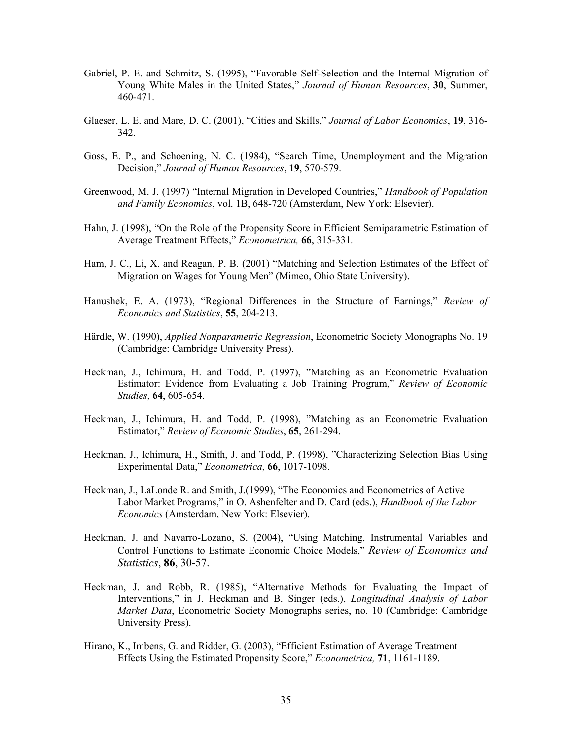- Gabriel, P. E. and Schmitz, S. (1995), "Favorable Self-Selection and the Internal Migration of Young White Males in the United States," *Journal of Human Resources*, **30**, Summer, 460-471.
- Glaeser, L. E. and Mare, D. C. (2001), "Cities and Skills," *Journal of Labor Economics*, **19**, 316- 342.
- Goss, E. P., and Schoening, N. C. (1984), "Search Time, Unemployment and the Migration Decision," *Journal of Human Resources*, **19**, 570-579.
- Greenwood, M. J. (1997) "Internal Migration in Developed Countries," *Handbook of Population and Family Economics*, vol. 1B, 648-720 (Amsterdam, New York: Elsevier).
- Hahn, J. (1998), "On the Role of the Propensity Score in Efficient Semiparametric Estimation of Average Treatment Effects," *Econometrica,* **66**, 315-331*.*
- Ham, J. C., Li, X. and Reagan, P. B. (2001) "Matching and Selection Estimates of the Effect of Migration on Wages for Young Men" (Mimeo, Ohio State University).
- Hanushek, E. A. (1973), "Regional Differences in the Structure of Earnings," *Review of Economics and Statistics*, **55**, 204-213.
- Härdle, W. (1990), *Applied Nonparametric Regression*, Econometric Society Monographs No. 19 (Cambridge: Cambridge University Press).
- Heckman, J., Ichimura, H. and Todd, P. (1997), "Matching as an Econometric Evaluation Estimator: Evidence from Evaluating a Job Training Program," *Review of Economic Studies*, **64**, 605-654.
- Heckman, J., Ichimura, H. and Todd, P. (1998), "Matching as an Econometric Evaluation Estimator," *Review of Economic Studies*, **65**, 261-294.
- Heckman, J., Ichimura, H., Smith, J. and Todd, P. (1998), "Characterizing Selection Bias Using Experimental Data," *Econometrica*, **66**, 1017-1098.
- Heckman, J., LaLonde R. and Smith, J.(1999), "The Economics and Econometrics of Active Labor Market Programs," in O. Ashenfelter and D. Card (eds.), *Handbook of the Labor Economics* (Amsterdam, New York: Elsevier).
- Heckman, J. and Navarro-Lozano, S. (2004), "Using Matching, Instrumental Variables and Control Functions to Estimate Economic Choice Models," *Review of Economics and Statistics*, **86**, 30-57.
- Heckman, J. and Robb, R. (1985), "Alternative Methods for Evaluating the Impact of Interventions," in J. Heckman and B. Singer (eds.), *Longitudinal Analysis of Labor Market Data*, Econometric Society Monographs series, no. 10 (Cambridge: Cambridge University Press).
- Hirano, K., Imbens, G. and Ridder, G. (2003), "Efficient Estimation of Average Treatment Effects Using the Estimated Propensity Score," *Econometrica,* **71**, 1161-1189.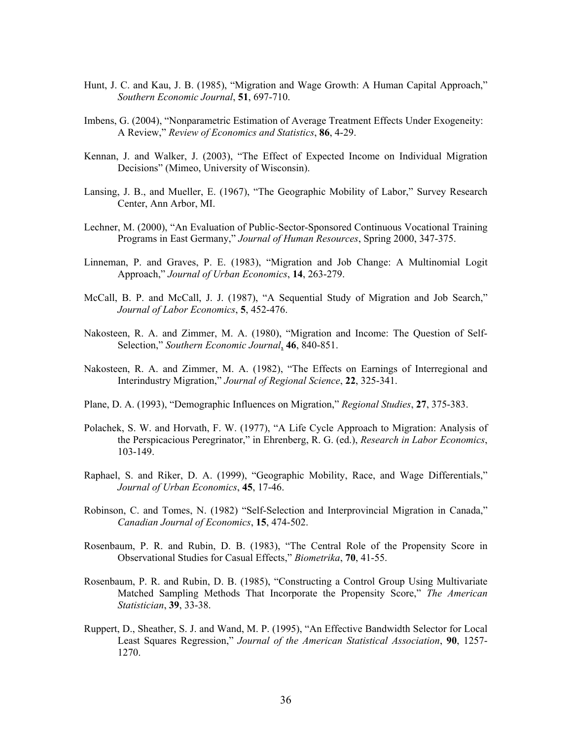- Hunt, J. C. and Kau, J. B. (1985), "Migration and Wage Growth: A Human Capital Approach," *Southern Economic Journal*, **51**, 697-710.
- Imbens, G. (2004), "Nonparametric Estimation of Average Treatment Effects Under Exogeneity: A Review," *Review of Economics and Statistics*, **86**, 4-29.
- Kennan, J. and Walker, J. (2003), "The Effect of Expected Income on Individual Migration Decisions" (Mimeo, University of Wisconsin).
- Lansing, J. B., and Mueller, E. (1967), "The Geographic Mobility of Labor," Survey Research Center, Ann Arbor, MI.
- Lechner, M. (2000), "An Evaluation of Public-Sector-Sponsored Continuous Vocational Training Programs in East Germany," *Journal of Human Resources*, Spring 2000, 347-375.
- Linneman, P. and Graves, P. E. (1983), "Migration and Job Change: A Multinomial Logit Approach," *Journal of Urban Economics*, **14**, 263-279.
- McCall, B. P. and McCall, J. J. (1987), "A Sequential Study of Migration and Job Search," *Journal of Labor Economics*, **5**, 452-476.
- Nakosteen, R. A. and Zimmer, M. A. (1980), "Migration and Income: The Question of Self-Selection," *Southern Economic Journal*, **46**, 840-851.
- Nakosteen, R. A. and Zimmer, M. A. (1982), "The Effects on Earnings of Interregional and Interindustry Migration," *Journal of Regional Science*, **22**, 325-341.
- Plane, D. A. (1993), "Demographic Influences on Migration," *Regional Studies*, **27**, 375-383.
- Polachek, S. W. and Horvath, F. W. (1977), "A Life Cycle Approach to Migration: Analysis of the Perspicacious Peregrinator," in Ehrenberg, R. G. (ed.), *Research in Labor Economics*, 103-149.
- Raphael, S. and Riker, D. A. (1999), "Geographic Mobility, Race, and Wage Differentials," *Journal of Urban Economics*, **45**, 17-46.
- Robinson, C. and Tomes, N. (1982) "Self-Selection and Interprovincial Migration in Canada," *Canadian Journal of Economics*, **15**, 474-502.
- Rosenbaum, P. R. and Rubin, D. B. (1983), "The Central Role of the Propensity Score in Observational Studies for Casual Effects," *Biometrika*, **70**, 41-55.
- Rosenbaum, P. R. and Rubin, D. B. (1985), "Constructing a Control Group Using Multivariate Matched Sampling Methods That Incorporate the Propensity Score," *The American Statistician*, **39**, 33-38.
- Ruppert, D., Sheather, S. J. and Wand, M. P. (1995), "An Effective Bandwidth Selector for Local Least Squares Regression," *Journal of the American Statistical Association*, **90**, 1257- 1270.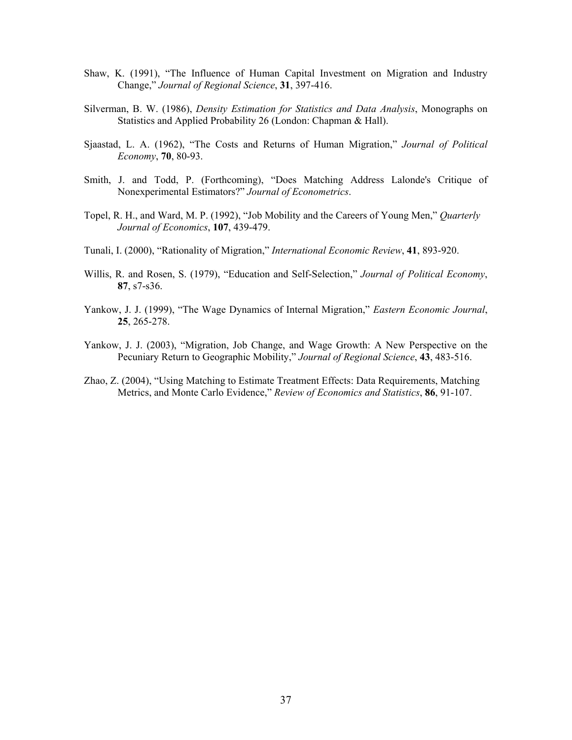- Shaw, K. (1991), "The Influence of Human Capital Investment on Migration and Industry Change," *Journal of Regional Science*, **31**, 397-416.
- Silverman, B. W. (1986), *Density Estimation for Statistics and Data Analysis*, Monographs on Statistics and Applied Probability 26 (London: Chapman & Hall).
- Sjaastad, L. A. (1962), "The Costs and Returns of Human Migration," *Journal of Political Economy*, **70**, 80-93.
- Smith, J. and Todd, P. (Forthcoming), "Does Matching Address Lalonde's Critique of Nonexperimental Estimators?" *Journal of Econometrics*.
- Topel, R. H., and Ward, M. P. (1992), "Job Mobility and the Careers of Young Men," *Quarterly Journal of Economics*, **107**, 439-479.
- Tunali, I. (2000), "Rationality of Migration," *International Economic Review*, **41**, 893-920.
- Willis, R. and Rosen, S. (1979), "Education and Self-Selection," *Journal of Political Economy*, **87**, s7-s36.
- Yankow, J. J. (1999), "The Wage Dynamics of Internal Migration," *Eastern Economic Journal*, **25**, 265-278.
- Yankow, J. J. (2003), "Migration, Job Change, and Wage Growth: A New Perspective on the Pecuniary Return to Geographic Mobility," *Journal of Regional Science*, **43**, 483-516.
- Zhao, Z. (2004), "Using Matching to Estimate Treatment Effects: Data Requirements, Matching Metrics, and Monte Carlo Evidence," *Review of Economics and Statistics*, **86**, 91-107.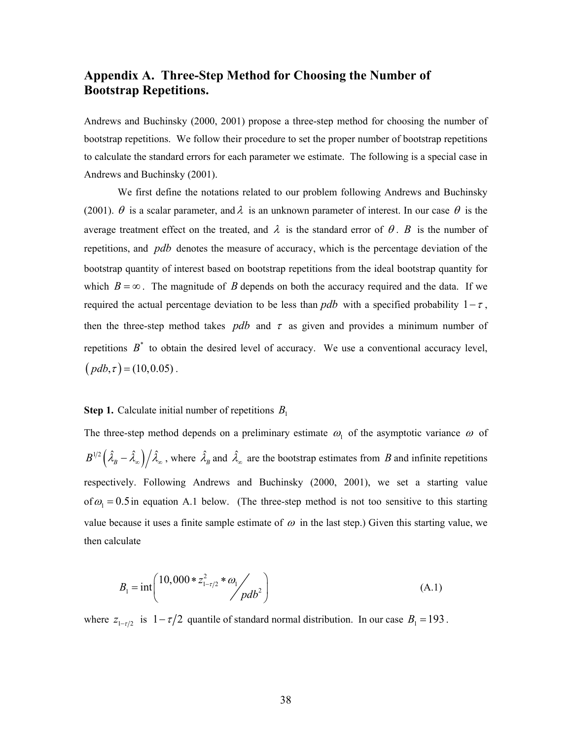## **Appendix A. Three-Step Method for Choosing the Number of Bootstrap Repetitions.**

Andrews and Buchinsky (2000, 2001) propose a three-step method for choosing the number of bootstrap repetitions. We follow their procedure to set the proper number of bootstrap repetitions to calculate the standard errors for each parameter we estimate. The following is a special case in Andrews and Buchinsky (2001).

We first define the notations related to our problem following Andrews and Buchinsky (2001).  $\theta$  is a scalar parameter, and  $\lambda$  is an unknown parameter of interest. In our case  $\theta$  is the average treatment effect on the treated, and  $\lambda$  is the standard error of  $\theta$ . *B* is the number of repetitions, and *pdb* denotes the measure of accuracy, which is the percentage deviation of the bootstrap quantity of interest based on bootstrap repetitions from the ideal bootstrap quantity for which  $B = \infty$ . The magnitude of *B* depends on both the accuracy required and the data. If we required the actual percentage deviation to be less than *pdb* with a specified probability  $1-\tau$ , then the three-step method takes *pdb* and  $\tau$  as given and provides a minimum number of repetitions  $B^*$  to obtain the desired level of accuracy. We use a conventional accuracy level,  $(pdb, \tau) = (10, 0.05)$ .

#### **Step 1.** Calculate initial number of repetitions  $B_1$

The three-step method depends on a preliminary estimate  $\omega_1$  of the asymptotic variance  $\omega_1$  of  $B^{1/2}(\hat{\lambda}_B - \hat{\lambda}_{\infty})/\hat{\lambda}_{\infty}$ , where  $\hat{\lambda}_B$  and  $\hat{\lambda}_{\infty}$  are the bootstrap estimates from *B* and infinite repetitions respectively. Following Andrews and Buchinsky (2000, 2001), we set a starting value of  $\omega_1 = 0.5$  in equation A.1 below. (The three-step method is not too sensitive to this starting value because it uses a finite sample estimate of  $\omega$  in the last step.) Given this starting value, we then calculate

$$
B_1 = \text{int}\left(\frac{10,000 \cdot z_{1-\tau/2}^2 \cdot \omega_1}{\rho d b^2}\right) \tag{A.1}
$$

where  $z_{1-\tau/2}$  is  $1-\tau/2$  quantile of standard normal distribution. In our case  $B_1 = 193$ .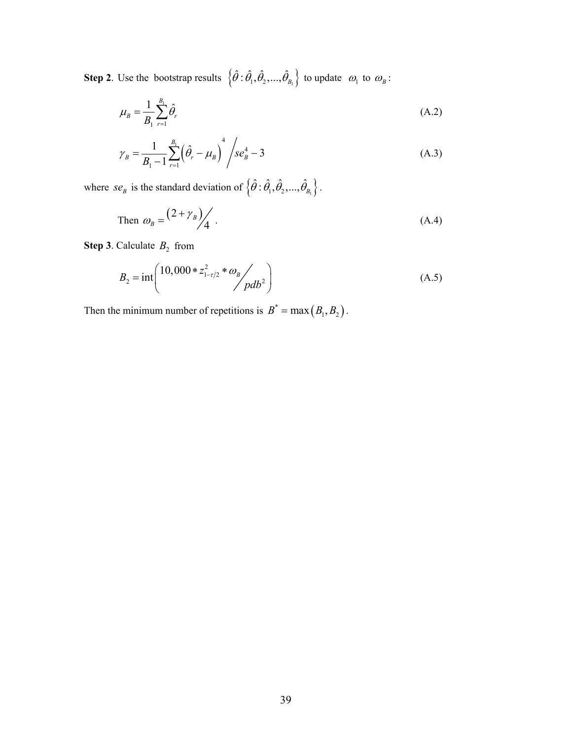**Step 2**. Use the bootstrap results  $\{\hat{\theta} : \hat{\theta}_1, \hat{\theta}_2, ..., \hat{\theta}_{B_1}\}$  to update  $\omega_1$  to  $\omega_B$ :

$$
\mu_{B} = \frac{1}{B_{1}} \sum_{r=1}^{B_{1}} \hat{\theta}_{r}
$$
\n(A.2)

$$
\gamma_B = \frac{1}{B_1 - 1} \sum_{r=1}^{B_1} \left( \hat{\theta}_r - \mu_B \right)^4 / s e_B^4 - 3 \tag{A.3}
$$

where *se<sub>B</sub>* is the standard deviation of  $\{\hat{\theta} : \hat{\theta}_1, \hat{\theta}_2, ..., \hat{\theta}_{B_1}\}.$ 

Then 
$$
\omega_B = \frac{(2 + \gamma_B)}{4}
$$
. (A.4)

**Step 3**. Calculate  $B_2$  from

$$
B_2 = \text{int}\left(\frac{10,000 \cdot z_{1-\tau/2}^2 \cdot \omega_B}{pdb^2}\right) \tag{A.5}
$$

Then the minimum number of repetitions is  $B^* = \max ( B_1, B_2 )$ .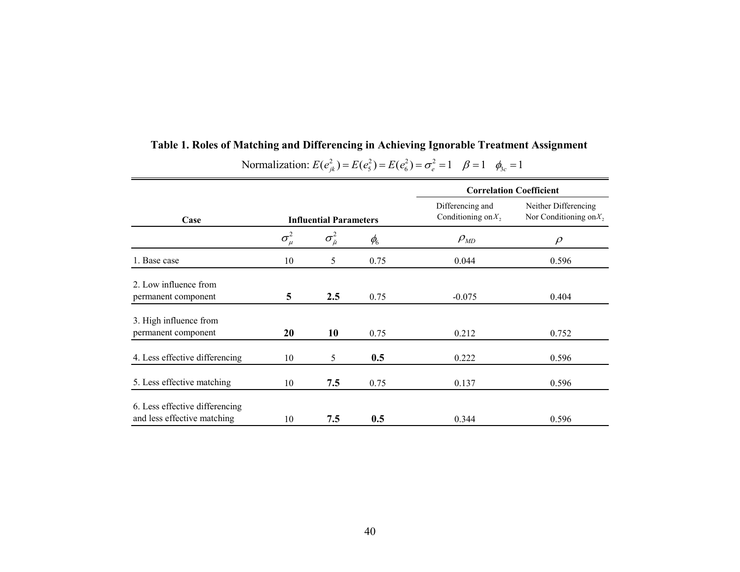|                                                               |                |                               |                                 |                                           | <b>Correlation Coefficient</b>                      |
|---------------------------------------------------------------|----------------|-------------------------------|---------------------------------|-------------------------------------------|-----------------------------------------------------|
| Case                                                          |                | <b>Influential Parameters</b> |                                 | Differencing and<br>Conditioning on $X_2$ | Neither Differencing<br>Nor Conditioning on $X_2$ , |
|                                                               | $\sigma^2_\mu$ | $\sigma^2_{\tilde{\mu}}$      | $\phi_{\!\scriptscriptstyle 6}$ | $\rho_{_{MD}}$                            | $\rho$                                              |
| 1. Base case                                                  | 10             | 5                             | 0.75                            | 0.044                                     | 0.596                                               |
| 2. Low influence from<br>permanent component                  | 5              | 2.5                           | 0.75                            | $-0.075$                                  | 0.404                                               |
| 3. High influence from<br>permanent component                 | 20             | 10                            | 0.75                            | 0.212                                     | 0.752                                               |
| 4. Less effective differencing                                | 10             | 5                             | 0.5                             | 0.222                                     | 0.596                                               |
| 5. Less effective matching                                    | 10             | 7.5                           | 0.75                            | 0.137                                     | 0.596                                               |
| 6. Less effective differencing<br>and less effective matching | 10             | 7.5                           | 0.5                             | 0.344                                     | 0.596                                               |

# **Table 1. Roles of Matching and Differencing in Achieving Ignorable Treatment Assignment**

# **2** Normalization:  $E(e_{jk}^2) = E(e_5^2) = E(e_6^2) = \sigma_e^2 = 1$   $\beta = 1$   $\phi_{3c} = 1$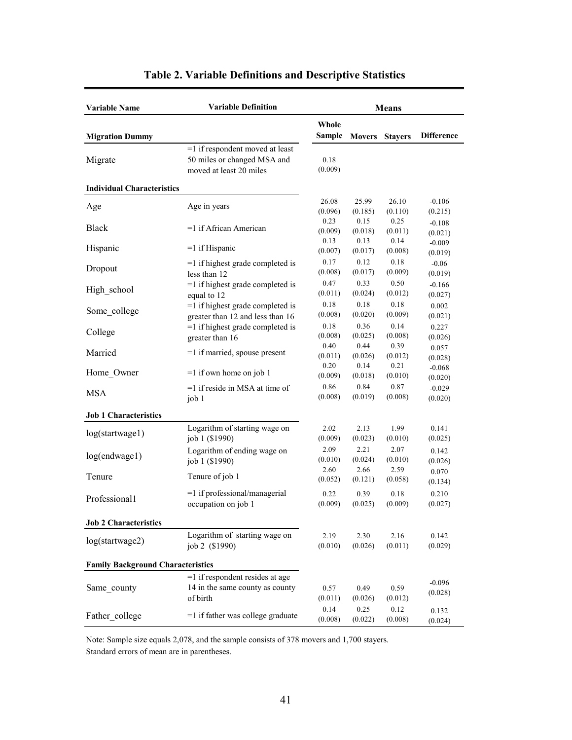| <b>Variable Name</b>                     | <b>Variable Definition</b>                                                                | <b>Means</b>            |                         |                         |                     |
|------------------------------------------|-------------------------------------------------------------------------------------------|-------------------------|-------------------------|-------------------------|---------------------|
| <b>Migration Dummy</b>                   |                                                                                           | Whole<br><b>Sample</b>  | Movers                  | <b>Stayers</b>          | <b>Difference</b>   |
| Migrate                                  | =1 if respondent moved at least<br>50 miles or changed MSA and<br>moved at least 20 miles | 0.18<br>(0.009)         |                         |                         |                     |
| <b>Individual Characteristics</b>        |                                                                                           |                         |                         |                         |                     |
| Age                                      | Age in years                                                                              | 26.08<br>(0.096)        | 25.99<br>(0.185)        | 26.10<br>(0.110)        | $-0.106$<br>(0.215) |
| <b>Black</b>                             | =1 if African American                                                                    | 0.23<br>(0.009)<br>0.13 | 0.15<br>(0.018)<br>0.13 | 0.25<br>(0.011)<br>0.14 | $-0.108$<br>(0.021) |
| Hispanic                                 | $=1$ if Hispanic                                                                          | (0.007)                 | (0.017)                 | (0.008)                 | $-0.009$<br>(0.019) |
| Dropout                                  | $=1$ if highest grade completed is<br>less than 12                                        | 0.17<br>(0.008)         | 0.12<br>(0.017)         | 0.18<br>(0.009)         | $-0.06$<br>(0.019)  |
| High school                              | =1 if highest grade completed is<br>equal to 12                                           | 0.47<br>(0.011)         | 0.33<br>(0.024)         | 0.50<br>(0.012)         | $-0.166$<br>(0.027) |
| Some college                             | $=1$ if highest grade completed is<br>greater than 12 and less than 16                    | 0.18<br>(0.008)         | 0.18<br>(0.020)         | 0.18<br>(0.009)         | 0.002<br>(0.021)    |
| College                                  | $=1$ if highest grade completed is<br>greater than 16                                     | 0.18<br>(0.008)         | 0.36<br>(0.025)         | 0.14<br>(0.008)         | 0.227<br>(0.026)    |
| Married                                  | $=1$ if married, spouse present                                                           | 0.40<br>(0.011)         | 0.44<br>(0.026)         | 0.39<br>(0.012)         | 0.057<br>(0.028)    |
| Home Owner                               | $=1$ if own home on job 1                                                                 | 0.20<br>(0.009)         | 0.14<br>(0.018)         | 0.21<br>(0.010)         | $-0.068$<br>(0.020) |
| <b>MSA</b>                               | $=1$ if reside in MSA at time of<br>job 1                                                 | 0.86<br>(0.008)         | 0.84<br>(0.019)         | 0.87<br>(0.008)         | $-0.029$<br>(0.020) |
| <b>Job 1 Characteristics</b>             |                                                                                           |                         |                         |                         |                     |
| log(startwage1)                          | Logarithm of starting wage on<br>job 1 (\$1990)                                           | 2.02<br>(0.009)         | 2.13<br>(0.023)         | 1.99<br>(0.010)         | 0.141<br>(0.025)    |
| log(endwage1)                            | Logarithm of ending wage on<br>job 1 (\$1990)                                             | 2.09<br>(0.010)         | 2.21<br>(0.024)         | 2.07<br>(0.010)         | 0.142<br>(0.026)    |
| Tenure                                   | Tenure of job 1                                                                           | 2.60<br>(0.052)         | 2.66<br>(0.121)         | 2.59<br>(0.058)         | 0.070<br>(0.134)    |
| Professional1                            | =1 if professional/managerial<br>occupation on job 1                                      | 0.22<br>(0.009)         | 0.39<br>(0.025)         | 0.18<br>(0.009)         | 0.210<br>(0.027)    |
| <b>Job 2 Characteristics</b>             |                                                                                           |                         |                         |                         |                     |
| log(startwage2)                          | Logarithm of starting wage on<br>job 2 (\$1990)                                           | 2.19<br>(0.010)         | 2.30<br>(0.026)         | 2.16<br>(0.011)         | 0.142<br>(0.029)    |
| <b>Family Background Characteristics</b> |                                                                                           |                         |                         |                         |                     |
|                                          | $=1$ if respondent resides at age                                                         |                         |                         |                         |                     |
| Same county                              | 14 in the same county as county<br>of birth                                               | 0.57<br>(0.011)         | 0.49<br>(0.026)         | 0.59<br>(0.012)         | $-0.096$<br>(0.028) |
| Father college                           | $=1$ if father was college graduate                                                       | 0.14<br>(0.008)         | 0.25<br>(0.022)         | 0.12<br>(0.008)         | 0.132<br>(0.024)    |

## **Table 2. Variable Definitions and Descriptive Statistics**

Note: Sample size equals 2,078, and the sample consists of 378 movers and 1,700 stayers. Standard errors of mean are in parentheses.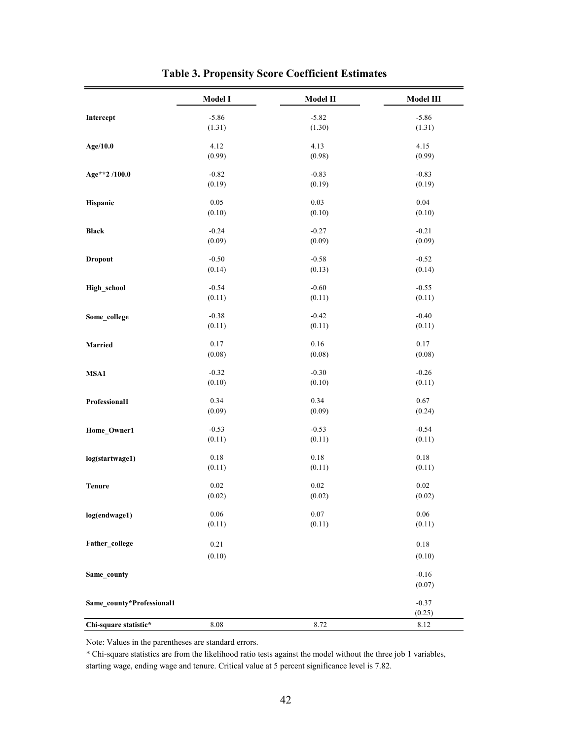|                           | Model I        | Model II | Model III          |
|---------------------------|----------------|----------|--------------------|
| Intercept                 | $-5.86$        | $-5.82$  | $-5.86$            |
|                           | (1.31)         | (1.30)   | (1.31)             |
| Age/10.0                  | 4.12           | 4.13     | 4.15               |
|                           | (0.99)         | (0.98)   | (0.99)             |
| Age**2 /100.0             | $-0.82$        | $-0.83$  | $-0.83$            |
|                           | (0.19)         | (0.19)   | (0.19)             |
| Hispanic                  | 0.05           | 0.03     | 0.04               |
|                           | (0.10)         | (0.10)   | (0.10)             |
| <b>Black</b>              | $-0.24$        | $-0.27$  | $-0.21$            |
|                           | (0.09)         | (0.09)   | (0.09)             |
| <b>Dropout</b>            | $-0.50$        | $-0.58$  | $-0.52$            |
|                           | (0.14)         | (0.13)   | (0.14)             |
| High_school               | $-0.54$        | $-0.60$  | $-0.55$            |
|                           | (0.11)         | (0.11)   | (0.11)             |
| Some_college              | $-0.38$        | $-0.42$  | $-0.40$            |
|                           | (0.11)         | (0.11)   | (0.11)             |
| <b>Married</b>            | 0.17           | 0.16     | $0.17\,$           |
|                           | (0.08)         | (0.08)   | (0.08)             |
| MSA1                      | $-0.32$        | $-0.30$  | $-0.26$            |
|                           | (0.10)         | (0.10)   | (0.11)             |
| Professional1             | 0.34           | 0.34     | 0.67               |
|                           | (0.09)         | (0.09)   | (0.24)             |
| Home_Owner1               | $-0.53$        | $-0.53$  | $-0.54$            |
|                           | (0.11)         | (0.11)   | (0.11)             |
| log(startwage1)           | $0.18\,$       | 0.18     | $0.18\,$           |
|                           | (0.11)         | (0.11)   | (0.11)             |
| <b>Tenure</b>             | 0.02           | 0.02     | 0.02               |
|                           | (0.02)         | (0.02)   | (0.02)             |
| log(endwage1)             | 0.06           | $0.07\,$ | 0.06               |
|                           | (0.11)         | (0.11)   | (0.11)             |
| Father_college            | 0.21<br>(0.10) |          | $0.18\,$<br>(0.10) |
| Same_county               |                |          | $-0.16$<br>(0.07)  |
| Same_county*Professional1 |                |          | $-0.37$<br>(0.25)  |
| Chi-square statistic*     | 8.08           | 8.72     | 8.12               |

**Table 3. Propensity Score Coefficient Estimates**

Note: Values in the parentheses are standard errors.

\* Chi-square statistics are from the likelihood ratio tests against the model without the three job 1 variables, starting wage, ending wage and tenure. Critical value at 5 percent significance level is 7.82.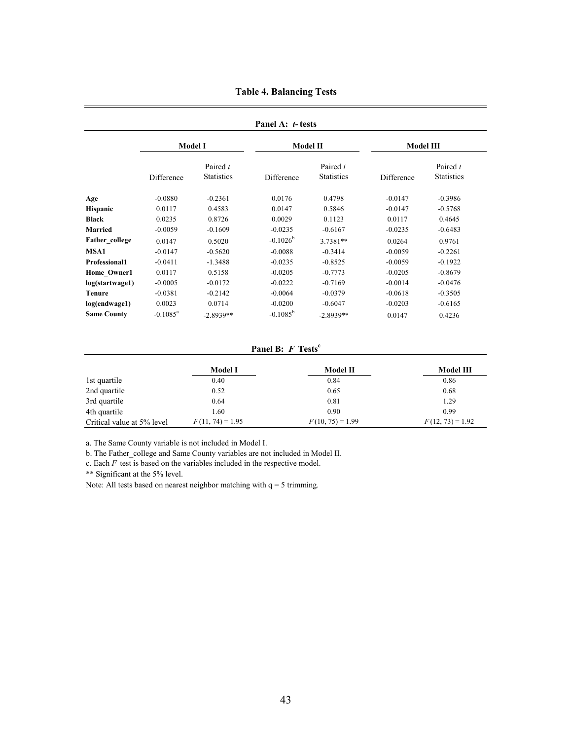|                      |                      |                               | Panel A: t-tests  |                               |                  |                               |
|----------------------|----------------------|-------------------------------|-------------------|-------------------------------|------------------|-------------------------------|
|                      |                      | <b>Model I</b>                | <b>Model II</b>   |                               | <b>Model III</b> |                               |
|                      | Difference           | Paired t<br><b>Statistics</b> | Difference        | Paired t<br><b>Statistics</b> | Difference       | Paired t<br><b>Statistics</b> |
| Age                  | $-0.0880$            | $-0.2361$                     | 0.0176            | 0.4798                        | $-0.0147$        | $-0.3986$                     |
| <b>Hispanic</b>      | 0.0117               | 0.4583                        | 0.0147            | 0.5846                        | $-0.0147$        | $-0.5768$                     |
| <b>Black</b>         | 0.0235               | 0.8726                        | 0.0029            | 0.1123                        | 0.0117           | 0.4645                        |
| Married              | $-0.0059$            | $-0.1609$                     | $-0.0235$         | $-0.6167$                     | $-0.0235$        | $-0.6483$                     |
| Father college       | 0.0147               | 0.5020                        | $-0.1026^b$       | 3.7381**                      | 0.0264           | 0.9761                        |
| MSA1                 | $-0.0147$            | $-0.5620$                     | $-0.0088$         | $-0.3414$                     | $-0.0059$        | $-0.2261$                     |
| <b>Professional1</b> | $-0.0411$            | $-1.3488$                     | $-0.0235$         | $-0.8525$                     | $-0.0059$        | $-0.1922$                     |
| Home Owner1          | 0.0117               | 0.5158                        | $-0.0205$         | $-0.7773$                     | $-0.0205$        | $-0.8679$                     |
| log(startwage1)      | $-0.0005$            | $-0.0172$                     | $-0.0222$         | $-0.7169$                     | $-0.0014$        | $-0.0476$                     |
| <b>Tenure</b>        | $-0.0381$            | $-0.2142$                     | $-0.0064$         | $-0.0379$                     | $-0.0618$        | $-0.3505$                     |
| log(endwage1)        | 0.0023               | 0.0714                        | $-0.0200$         | $-0.6047$                     | $-0.0203$        | $-0.6165$                     |
| <b>Same County</b>   | $-0.1085^{\text{a}}$ | $-2.8939**$                   | $-0.1085^{\rm b}$ | $-2.8939**$                   | 0.0147           | 0.4236                        |

**Table 4. Balancing Tests**

**Panel B:** *F* **Tests<sup>c</sup>**

|                            | Model I            | Model II           | Model III          |
|----------------------------|--------------------|--------------------|--------------------|
| 1st quartile               | 0.40               | 0.84               | 0.86               |
| 2nd quartile               | 0.52               | 0.65               | 0.68               |
| 3rd quartile               | 0.64               | 0.81               | 1.29               |
| 4th quartile               | l.60               | 0.90               | 0.99               |
| Critical value at 5% level | $F(11, 74) = 1.95$ | $F(10, 75) = 1.99$ | $F(12, 73) = 1.92$ |

a. The Same County variable is not included in Model I.

b. The Father\_college and Same County variables are not included in Model II.

c. Each *F* test is based on the variables included in the respective model.

\*\* Significant at the 5% level.

Note: All tests based on nearest neighbor matching with  $q = 5$  trimming.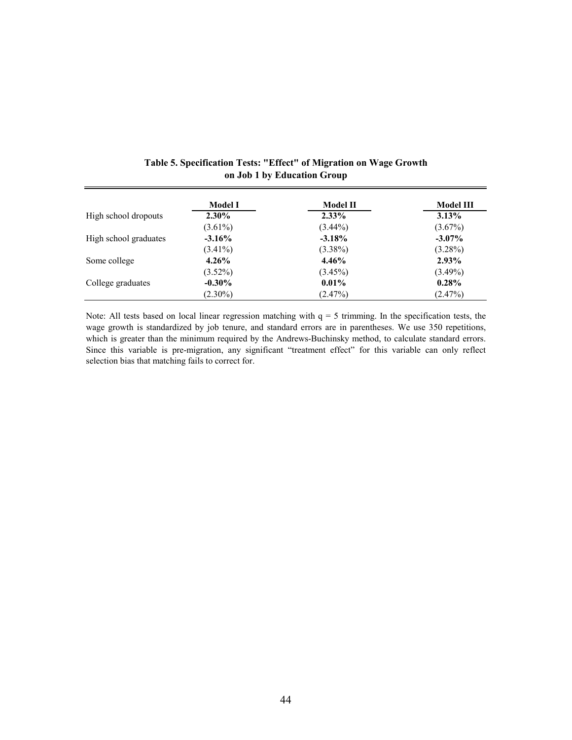|                       | Model I    | <b>Model II</b> | Model III  |
|-----------------------|------------|-----------------|------------|
| High school dropouts  | $2.30\%$   | $2.33\%$        | $3.13\%$   |
|                       | $(3.61\%)$ | $(3.44\%)$      | $(3.67\%)$ |
| High school graduates | $-3.16\%$  | $-3.18%$        | $-3.07\%$  |
|                       | $(3.41\%)$ | $(3.38\%)$      | $(3.28\%)$ |
| Some college          | $4.26\%$   | $4.46\%$        | $2.93\%$   |
|                       | $(3.52\%)$ | $(3.45\%)$      | $(3.49\%)$ |
| College graduates     | $-0.30\%$  | $0.01\%$        | $0.28\%$   |
|                       | $(2.30\%)$ | $(2.47\%)$      | $(2.47\%)$ |

## **Table 5. Specification Tests: "Effect" of Migration on Wage Growth on Job 1 by Education Group**

Note: All tests based on local linear regression matching with  $q = 5$  trimming. In the specification tests, the wage growth is standardized by job tenure, and standard errors are in parentheses. We use 350 repetitions, which is greater than the minimum required by the Andrews-Buchinsky method, to calculate standard errors. Since this variable is pre-migration, any significant "treatment effect" for this variable can only reflect selection bias that matching fails to correct for.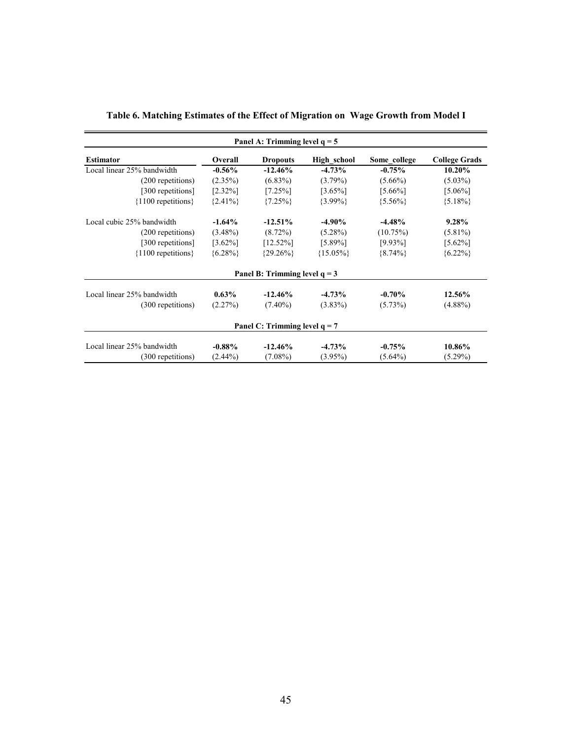| Panel A: Trimming level $q = 5$ |            |                                 |               |              |                      |  |
|---------------------------------|------------|---------------------------------|---------------|--------------|----------------------|--|
| <b>Estimator</b>                | Overall    | <b>Dropouts</b>                 | High school   | Some college | <b>College Grads</b> |  |
| Local linear 25% bandwidth      | $-0.56\%$  | $-12.46%$                       | $-4.73%$      | $-0.75%$     | 10.20%               |  |
| (200 repetitions)               | $(2.35\%)$ | $(6.83\%)$                      | $(3.79\%)$    | $(5.66\%)$   | $(5.03\%)$           |  |
| [300 repetitions]               | $[2.32\%]$ | $[7.25\%]$                      | $[3.65\%]$    | $[5.66\%]$   | $[5.06\%]$           |  |
| ${1100}$ repetitions            | ${2.41\%}$ | ${7.25\%}$                      | $\{3.99\% \}$ | ${5.56\%}$   | ${5.18\%}$           |  |
| Local cubic 25% bandwidth       | $-1.64%$   | $-12.51%$                       | $-4.90\%$     | $-4.48%$     | 9.28%                |  |
| (200 repetitions)               | $(3.48\%)$ | $(8.72\%)$                      | $(5.28\%)$    | $(10.75\%)$  | $(5.81\%)$           |  |
| [300 repetitions]               | $[3.62\%]$ | $[12.52\%]$                     | $[5.89\%]$    | $[9.93\%]$   | $[5.62\%]$           |  |
| ${1100}$ repetitions            | ${6.28\%}$ | ${29.26\%}$                     | ${15.05\%}$   | ${8.74\%}$   | ${6.22\%}$           |  |
|                                 |            | Panel B: Trimming level $q = 3$ |               |              |                      |  |
| Local linear 25% bandwidth      | $0.63\%$   | $-12.46\%$                      | $-4.73%$      | $-0.70%$     | 12.56%               |  |
| (300 repetitions)               | (2.27%)    | $(7.40\%)$                      | $(3.83\%)$    | $(5.73\%)$   | $(4.88\%)$           |  |
|                                 |            | Panel C: Trimming level $q = 7$ |               |              |                      |  |
| Local linear 25% bandwidth      | $-0.88\%$  | $-12.46%$                       | $-4.73%$      | $-0.75%$     | 10.86%               |  |
| (300 repetitions)               | $(2.44\%)$ | $(7.08\%)$                      | $(3.95\%)$    | $(5.64\%)$   | $(5.29\%)$           |  |

## **Table 6. Matching Estimates of the Effect of Migration on Wage Growth from Model I**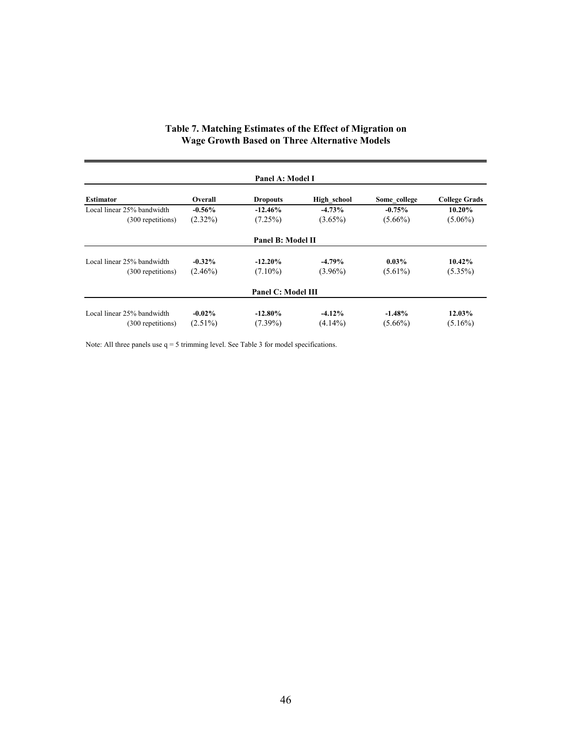|                            |            | Panel A: Model I   |             |              |                      |
|----------------------------|------------|--------------------|-------------|--------------|----------------------|
| <b>Estimator</b>           | Overall    | <b>Dropouts</b>    | High school | Some college | <b>College Grads</b> |
| Local linear 25% bandwidth | $-0.56\%$  | $-12.46%$          | $-4.73%$    | $-0.75%$     | 10.20%               |
| (300 repetitions)          | $(2.32\%)$ | (7.25%)            | $(3.65\%)$  | $(5.66\%)$   | $(5.06\%)$           |
|                            |            | Panel B: Model II  |             |              |                      |
| Local linear 25% bandwidth | $-0.32\%$  | $-12.20%$          | $-4.79%$    | $0.03\%$     | 10.42%               |
| (300 repetitions)          | $(2.46\%)$ | $(7.10\%)$         | $(3.96\%)$  | $(5.61\%)$   | $(5.35\%)$           |
|                            |            | Panel C: Model III |             |              |                      |
| Local linear 25% bandwidth | $-0.02\%$  | $-12.80\%$         | $-4.12%$    | $-1.48%$     | 12.03%               |
| (300 repetitions)          | $(2.51\%)$ | $(7.39\%)$         | $(4.14\%)$  | $(5.66\%)$   | $(5.16\%)$           |

## **Table 7. Matching Estimates of the Effect of Migration on Wage Growth Based on Three Alternative Models**

Note: All three panels use q = 5 trimming level. See Table 3 for model specifications.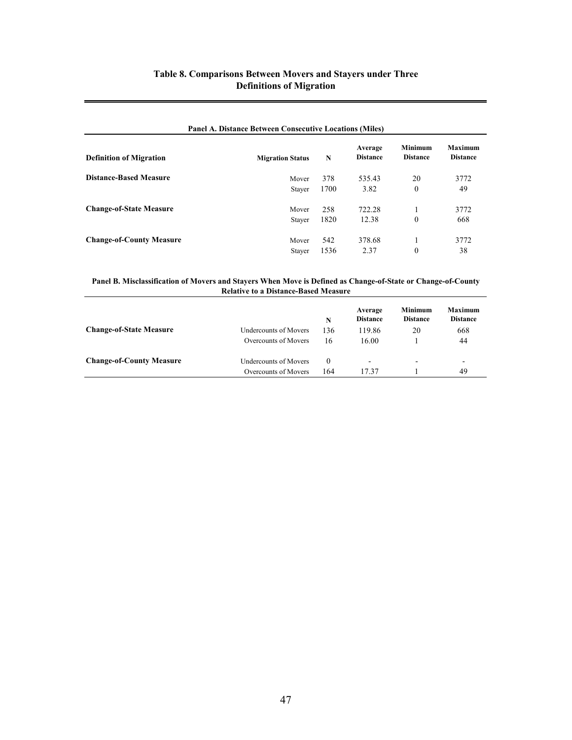## **Table 8. Comparisons Between Movers and Stayers under Three Definitions of Migration**

| <b>Panel A. Distance Between Consecutive Locations (Miles)</b> |                         |      |                            |                                   |                                   |  |
|----------------------------------------------------------------|-------------------------|------|----------------------------|-----------------------------------|-----------------------------------|--|
| <b>Definition of Migration</b>                                 | <b>Migration Status</b> | N    | Average<br><b>Distance</b> | <b>Minimum</b><br><b>Distance</b> | <b>Maximum</b><br><b>Distance</b> |  |
| <b>Distance-Based Measure</b>                                  | Mover                   | 378  | 535.43                     | 20                                | 3772                              |  |
|                                                                | <b>Staver</b>           | 1700 | 3.82                       | $\theta$                          | 49                                |  |
| <b>Change-of-State Measure</b>                                 | Mover                   | 258  | 722.28                     | 1                                 | 3772                              |  |
|                                                                | <b>Staver</b>           | 1820 | 12.38                      | $\theta$                          | 668                               |  |
| <b>Change-of-County Measure</b>                                | Mover                   | 542  | 378.68                     |                                   | 3772                              |  |
|                                                                | <b>Staver</b>           | 1536 | 2.37                       | $\theta$                          | 38                                |  |

#### **Panel B. Misclassification of Movers and Stayers When Move is Defined as Change-of-State or Change-of-County Relative to a Distance-Based Measure**

|                                 |                              | N   | Average<br><b>Distance</b> | Minimum<br><b>Distance</b> | <b>Maximum</b><br><b>Distance</b> |
|---------------------------------|------------------------------|-----|----------------------------|----------------------------|-----------------------------------|
| <b>Change-of-State Measure</b>  | <b>Undercounts of Movers</b> | 136 | 119.86                     | 20                         | 668                               |
|                                 | Overcounts of Movers         | 16  | 16.00                      |                            | 44                                |
| <b>Change-of-County Measure</b> | <b>Undercounts of Movers</b> | 0   | -                          | $\overline{\phantom{a}}$   | ۰                                 |
|                                 | Overcounts of Movers         | 164 | 17 37                      |                            | 49                                |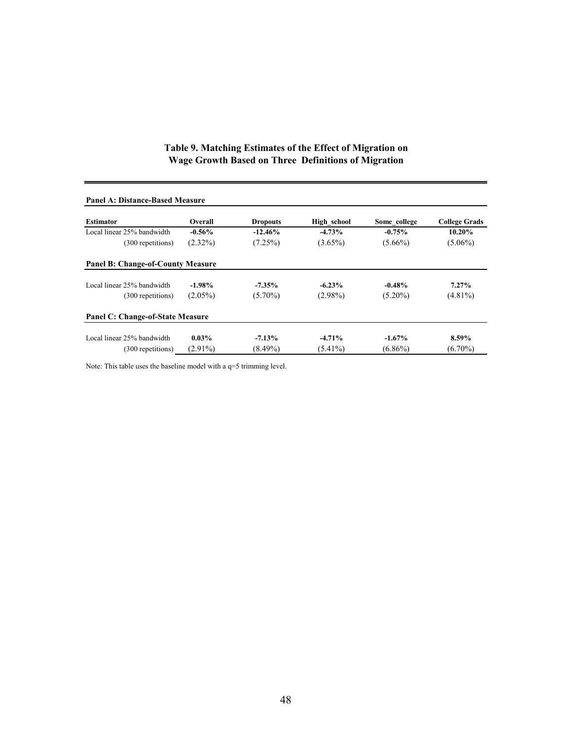#### **Table 9. Matching Estimates of the Effect of Migration on Wage Growth Based on Three Definitions of Migration**

| Panel A: Distance-Based Measure          |            |                 |             |              |                      |
|------------------------------------------|------------|-----------------|-------------|--------------|----------------------|
| <b>Estimator</b>                         | Overall    | <b>Dropouts</b> | High school | Some college | <b>College Grads</b> |
| Local linear 25% bandwidth               | $-0.56\%$  | $-12.46%$       | $-4.73%$    | $-0.75%$     | 10.20%               |
| (300 repetitions)                        | $(2.32\%)$ | (7.25%)         | $(3.65\%)$  | $(5.66\%)$   | $(5.06\%)$           |
| <b>Panel B: Change-of-County Measure</b> |            |                 |             |              |                      |
| Local linear 25% bandwidth               | $-1.98\%$  | $-7.35\%$       | $-6.23%$    | $-0.48%$     | $7.27\%$             |
| (300 repetitions)                        | $(2.05\%)$ | $(5.70\%)$      | $(2.98\%)$  | $(5.20\%)$   | $(4.81\%)$           |
| Panel C: Change-of-State Measure         |            |                 |             |              |                      |
| Local linear 25% bandwidth               | $0.03\%$   | $-7.13\%$       | $-4.71%$    | $-1.67\%$    | 8.59%                |
| (300 repetitions)                        | $(2.91\%)$ | $(8.49\%)$      | $(5.41\%)$  | $(6.86\%)$   | $(6.70\%)$           |

## **Panel A: Distance-Based Measure**

Note: This table uses the baseline model with a q=5 trimming level.